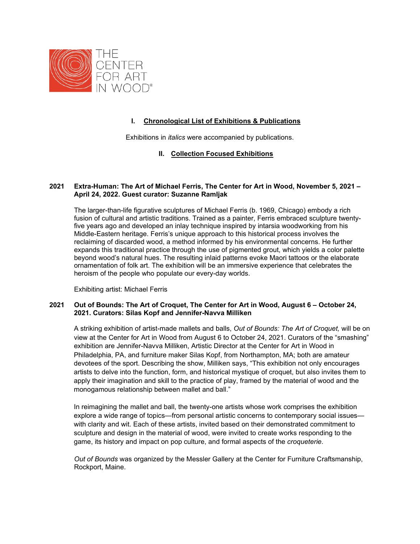

# **I. Chronological List of Exhibitions & Publications**

Exhibitions in *italics* were accompanied by publications.

# **II. Collection Focused Exhibitions**

# **2021 [Extra-Human:](https://centerforartinwood.org/exhibition/extra-human-the-art-of-michael-ferris/) The Art of Michael Ferris, The Center for Art in Wood, November 5, 2021 – April 24, 2022. Guest curator: Suzanne Ramljak**

The larger-than-life figurative sculptures of Michael Ferris (b. 1969, Chicago) embody a rich fusion of cultural and artistic traditions. Trained as a painter, Ferris embraced sculpture twentyfive years ago and developed an inlay technique inspired by intarsia woodworking from his Middle-Eastern heritage. Ferris's unique approach to this historical process involves the reclaiming of discarded wood, a method informed by his environmental concerns. He further expands this traditional practice through the use of pigmented grout, which yields a color palette beyond wood's natural hues. The resulting inlaid patterns evoke Maori tattoos or the elaborate ornamentation of folk art. The exhibition will be an immersive experience that celebrates the heroism of the people who populate our every-day worlds.

Exhibiting artist: Michael Ferris

# **2021 Out of Bounds: The Art of Croquet, The Center for Art in Wood, August 6 – October 24, 2021. Curators: Silas Kopf and Jennifer-Navva Milliken**

A striking exhibition of artist-made mallets and balls, *Out of Bounds: The Art of Croquet,* will be on view at the Center for Art in Wood from August 6 to October 24, 2021. Curators of the "smashing" exhibition are Jennifer-Navva Milliken, Artistic Director at the Center for Art in Wood in Philadelphia, PA, and furniture maker Silas Kopf, from Northampton, MA; both are amateur devotees of the sport. Describing the show, Milliken says, "This exhibition not only encourages artists to delve into the function, form, and historical mystique of croquet, but also invites them to apply their imagination and skill to the practice of play, framed by the material of wood and the monogamous relationship between mallet and ball."

In reimagining the mallet and ball, the twenty-one artists whose work comprises the exhibition explore a wide range of topics—from personal artistic concerns to contemporary social issues with clarity and wit. Each of these artists, invited based on their demonstrated commitment to sculpture and design in the material of wood, were invited to create works responding to the game, its history and impact on pop culture, and formal aspects of the *croqueterie*.

*Out of Bounds* was organized by the Messler Gallery at the Center for Furniture Craftsmanship, Rockport, Maine.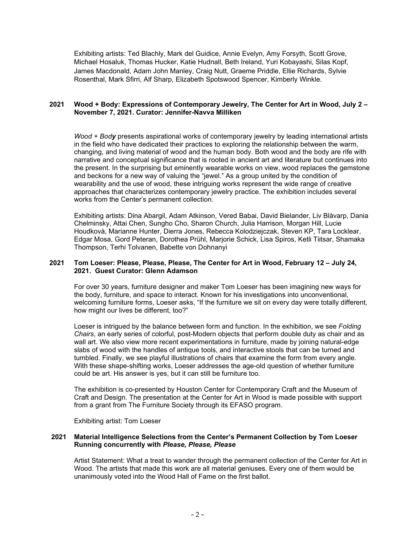Exhibiting artists: Ted Blachly, Mark del Guidice, Annie Evelyn, Amy Forsyth, Scott Grove, Michael Hosaluk, Thomas Hucker, Katie Hudnall, Beth Ireland, Yuri Kobayashi, Silas Kopf, James Macdonald, Adam John Manley, Craig Nutt, Graeme Priddle, Ellie Richards, Sylvie Rosenthal, Mark Sfirri, Alf Sharp, Elizabeth Spotswood Spencer, Kimberly Winkle.

# **2021 Wood + Body: Expressions of Contemporary Jewelry, The Center for Art in Wood, July 2 – November 7, 2021. Curator: Jennifer-Navva Milliken**

*Wood + Body* presents aspirational works of contemporary jewelry by leading international artists in the field who have dedicated their practices to exploring the relationship between the warm, changing, and living material of wood and the human body. Both wood and the body are rife with narrative and conceptual significance that is rooted in ancient art and literature but continues into the present. In the surprising but eminently wearable works on view, wood replaces the gemstone and beckons for a new way of valuing the "jewel." As a group united by the condition of wearability and the use of wood, these intriguing works represent the wide range of creative approaches that characterizes contemporary jewelry practice. The exhibition includes several works from the Center's permanent collection.

Exhibiting artists: Dina Abargil, Adam Atkinson, Vered Babai, David Bielander, Liv Blåvarp, Dania Chelminsky, Attai Chen, Sungho Cho, Sharon Church, Julia Harrison, Morgan Hill, Lucie Houdkovà, Marianne Hunter, Dierra Jones, Rebecca Kolodziejczak, Steven KP, Tara Locklear, Edgar Mosa, Gord Peteran, Dorothea Prühl, Marjorie Schick, Lisa Spiros, Ketli Tiitsar, Shamaka Thompson, Terhi Tolvanen, Babette von Dohnanyi

# **2021 Tom Loeser: Please, Please, Please, The Center for Art in Wood, February 12 – July 24, 2021. Guest Curator: Glenn Adamson**

For over 30 years, furniture designer and maker Tom Loeser has been imagining new ways for the body, furniture, and space to interact. Known for his investigations into unconventional, welcoming furniture forms, Loeser asks, "If the furniture we sit on every day were totally different, how might our lives be different, too?"

Loeser is intrigued by the balance between form and function. In the exhibition, we see *Folding Chairs*, an early series of colorful, post-Modern objects that perform double duty as chair and as wall art. We also view more recent experimentations in furniture, made by joining natural-edge slabs of wood with the handles of antique tools, and interactive stools that can be turned and tumbled. Finally, we see playful illustrations of chairs that examine the form from every angle. With these shape-shifting works, Loeser addresses the age-old question of whether furniture could be art. His answer is yes, but it can still be furniture too.

The exhibition is co-presented by Houston Center for Contemporary Craft and the Museum of Craft and Design. The presentation at the Center for Art in Wood is made possible with support from a grant from The Furniture Society through its EFASO program.

Exhibiting artist: Tom Loeser

#### **2021 Material Intelligence Selections from the Center's Permanent Collection by Tom Loeser Running concurrently with** *Please, Please, Please*

Artist Statement: What a treat to wander through the permanent collection of the Center for Art in Wood. The artists that made this work are all material geniuses. Every one of them would be unanimously voted into the Wood Hall of Fame on the first ballot.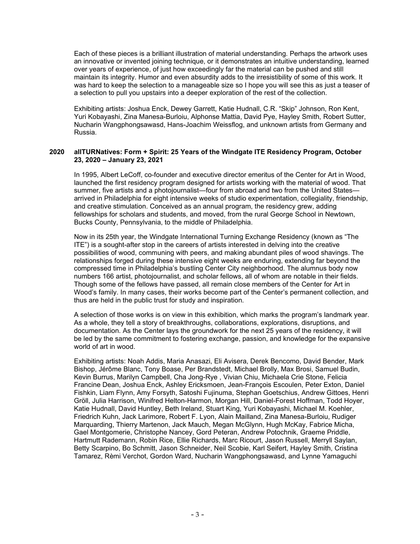Each of these pieces is a brilliant illustration of material understanding. Perhaps the artwork uses an innovative or invented joining technique, or it demonstrates an intuitive understanding, learned over years of experience, of just how exceedingly far the material can be pushed and still maintain its integrity. Humor and even absurdity adds to the irresistibility of some of this work. It was hard to keep the selection to a manageable size so I hope you will see this as just a teaser of a selection to pull you upstairs into a deeper exploration of the rest of the collection.

Exhibiting artists: Joshua Enck, Dewey Garrett, Katie Hudnall, C.R. "Skip" Johnson, Ron Kent, Yuri Kobayashi, Zina Manesa-Burloiu, Alphonse Mattia, David Pye, Hayley Smith, Robert Sutter, Nucharin Wangphongsawasd, Hans-Joachim Weissflog, and unknown artists from Germany and Russia.

### **2020 allTURNatives: Form + Spirit: 25 Years of the Windgate ITE Residency Program, October 23, 2020 – January 23, 2021**

In 1995, Albert LeCoff, co-founder and executive director emeritus of the Center for Art in Wood, launched the first residency program designed for artists working with the material of wood. That summer, five artists and a photojournalist—four from abroad and two from the United States arrived in Philadelphia for eight intensive weeks of studio experimentation, collegiality, friendship, and creative stimulation. Conceived as an annual program, the residency grew, adding fellowships for scholars and students, and moved, from the rural George School in Newtown, Bucks County, Pennsylvania, to the middle of Philadelphia.

Now in its 25th year, the Windgate International Turning Exchange Residency (known as "The ITE") is a sought-after stop in the careers of artists interested in delving into the creative possibilities of wood, communing with peers, and making abundant piles of wood shavings. The relationships forged during these intensive eight weeks are enduring, extending far beyond the compressed time in Philadelphia's bustling Center City neighborhood. The alumnus body now numbers 166 artist, photojournalist, and scholar fellows, all of whom are notable in their fields. Though some of the fellows have passed, all remain close members of the Center for Art in Wood's family. In many cases, their works become part of the Center's permanent collection, and thus are held in the public trust for study and inspiration.

A selection of those works is on view in this exhibition, which marks the program's landmark year. As a whole, they tell a story of breakthroughs, collaborations, explorations, disruptions, and documentation. As the Center lays the groundwork for the next 25 years of the residency, it will be led by the same commitment to fostering exchange, passion, and knowledge for the expansive world of art in wood.

Exhibiting artists: Noah Addis, Maria Anasazi, Eli Avisera, Derek Bencomo, David Bender, Mark Bishop, Jérôme Blanc, Tony Boase, Per Brandstedt, Michael Brolly, Max Brosi, Samuel Budin, Kevin Burrus, Marilyn Campbell, Cha Jong-Rye , Vivian Chiu, Michaela Crie Stone, Felicia Francine Dean, Joshua Enck, Ashley Ericksmoen, Jean-François Escoulen, Peter Exton, Daniel Fishkin, Liam Flynn, Amy Forsyth, Satoshi Fujinuma, Stephan Goetschius, Andrew Gittoes, Henri Gröll, Julia Harrison, Winifred Helton-Harmon, Morgan Hill, Daniel-Forest Hoffman, Todd Hoyer, Katie Hudnall, David Huntley, Beth Ireland, Stuart King, Yuri Kobayashi, Michael M. Koehler, Friedrich Kuhn, Jack Larimore, Robert F. Lyon, Alain Mailland, Zina Manesa-Burloiu, Rudiger Marquarding, Thierry Martenon, Jack Mauch, Megan McGlynn, Hugh McKay, Fabrice Micha, Gael Montgomerie, Christophe Nancey, Gord Peteran, Andrew Potochnik, Graeme Priddle, Hartmutt Rademann, Robin Rice, Ellie Richards, Marc Ricourt, Jason Russell, Merryll Saylan, Betty Scarpino, Bo Schmitt, Jason Schneider, Neil Scobie, Karl Seifert, Hayley Smith, Cristina Tamarez, Rèmi Verchot, Gordon Ward, Nucharin Wangphongsawasd, and Lynne Yamaguchi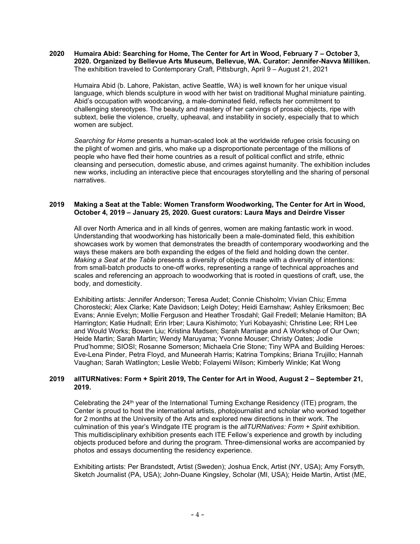#### **2020 Humaira Abid: Searching for Home, The Center for Art in Wood, February 7 – October 3, 2020. Organized by Bellevue Arts Museum, Bellevue, WA. Curator: Jennifer-Navva Milliken.**  The exhibition traveled to Contemporary Craft, Pittsburgh, April 9 – August 21, 2021

Humaira Abid (b. Lahore, Pakistan, active Seattle, WA) is well known for her unique visual language, which blends sculpture in wood with her twist on traditional Mughal miniature painting. Abid's occupation with woodcarving, a male-dominated field, reflects her commitment to challenging stereotypes. The beauty and mastery of her carvings of prosaic objects, ripe with subtext, belie the violence, cruelty, upheaval, and instability in society, especially that to which women are subject.

*Searching for Home* presents a human-scaled look at the worldwide refugee crisis focusing on the plight of women and girls, who make up a disproportionate percentage of the millions of people who have fled their home countries as a result of political conflict and strife, ethnic cleansing and persecution, domestic abuse, and crimes against humanity. The exhibition includes new works, including an interactive piece that encourages storytelling and the sharing of personal narratives.

### **2019 Making a Seat at the Table: Women Transform Woodworking, The Center for Art in Wood, October 4, 2019 – January 25, 2020. Guest curators: Laura Mays and Deirdre Visser**

All over North America and in all kinds of genres, women are making fantastic work in wood. Understanding that woodworking has historically been a male-dominated field, this exhibition showcases work by women that demonstrates the breadth of contemporary woodworking and the ways these makers are both expanding the edges of the field and holding down the center. *Making a Seat at the Table* presents a diversity of objects made with a diversity of intentions: from small-batch products to one-off works, representing a range of technical approaches and scales and referencing an approach to woodworking that is rooted in questions of craft, use, the body, and domesticity.

Exhibiting artists: Jennifer Anderson; Teresa Audet; Connie Chisholm; Vivian Chiu; Emma Chorostecki; Alex Clarke; Kate Davidson; Leigh Dotey; Heidi Earnshaw; Ashley Eriksmoen; Bec Evans; Annie Evelyn; Mollie Ferguson and Heather Trosdahl; Gail Fredell; Melanie Hamilton; BA Harrington; Katie Hudnall; Erin Irber; Laura Kishimoto; Yuri Kobayashi; Christine Lee; RH Lee and Would Works; Bowen Liu; Kristina Madsen; Sarah Marriage and A Workshop of Our Own; Heide Martin; Sarah Martin; Wendy Maruyama; Yvonne Mouser; Christy Oates; Jodie Prud'homme; SIOSI; Rosanne Somerson; Michaela Crie Stone; Tiny WPA and Building Heroes: Eve-Lena Pinder, Petra Floyd, and Muneerah Harris; Katrina Tompkins; Briana Trujillo; Hannah Vaughan; Sarah Watlington; Leslie Webb; Folayemi Wilson; Kimberly Winkle; Kat Wong

# **2019 allTURNatives: Form + Spirit 2019, The Center for Art in Wood, August 2 – September 21, 2019.**

Celebrating the 24th year of the International Turning Exchange Residency (ITE) program, the Center is proud to host the international artists, photojournalist and scholar who worked together for 2 months at the University of the Arts and explored new directions in their work. The culmination of this year's Windgate ITE program is the *allTURNatives: Form + Spirit* exhibition. This multidisciplinary exhibition presents each ITE Fellow's experience and growth by including objects produced before and during the program. Three-dimensional works are accompanied by photos and essays documenting the residency experience.

Exhibiting artists: Per Brandstedt, Artist (Sweden); Joshua Enck, Artist (NY, USA); Amy Forsyth, Sketch Journalist (PA, USA); John-Duane Kingsley, Scholar (MI, USA); Heide Martin, Artist (ME,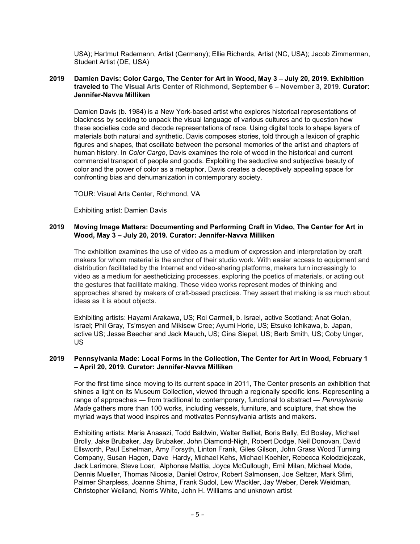USA); Hartmut Rademann, Artist (Germany); Ellie Richards, Artist (NC, USA); Jacob Zimmerman, Student Artist (DE, USA)

### **2019 Damien Davis: Color Cargo, The Center for Art in Wood, May 3 – July 20, 2019. Exhibition traveled to The Visual Arts Center of Richmond, September 6 – November 3, 2019. Curator: Jennifer-Navva Milliken**

Damien Davis (b. 1984) is a New York-based artist who explores historical representations of blackness by seeking to unpack the visual language of various cultures and to question how these societies code and decode representations of race. Using digital tools to shape layers of materials both natural and synthetic, Davis composes stories, told through a lexicon of graphic figures and shapes, that oscillate between the personal memories of the artist and chapters of human history. In *Color Cargo*, Davis examines the role of wood in the historical and current commercial transport of people and goods. Exploiting the seductive and subjective beauty of color and the power of color as a metaphor, Davis creates a deceptively appealing space for confronting bias and dehumanization in contemporary society.

TOUR: Visual Arts Center, Richmond, VA

Exhibiting artist: Damien Davis

# **2019 Moving Image Matters: Documenting and Performing Craft in Video, The Center for Art in Wood, May 3 – July 20, 2019. Curator: Jennifer-Navva Milliken**

The exhibition examines the use of video as a medium of expression and interpretation by craft makers for whom material is the anchor of their studio work. With easier access to equipment and distribution facilitated by the Internet and video-sharing platforms, makers turn increasingly to video as a medium for aestheticizing processes, exploring the poetics of materials, or acting out the gestures that facilitate making. These video works represent modes of thinking and approaches shared by makers of craft-based practices. They assert that making is as much about ideas as it is about objects.

Exhibiting artists: Hayami Arakawa, US; Roi Carmeli, b. Israel, active Scotland; Anat Golan, Israel; Phil Gray, Ts'msyen and Mikisew Cree; Ayumi Horie, US; Etsuko Ichikawa, b. Japan, active US; Jesse Beecher and Jack Mauch**,** US; Gina Siepel, US; Barb Smith, US; Coby Unger, US

# **2019 Pennsylvania Made: Local Forms in the Collection, The Center for Art in Wood, February 1 – April 20, 2019. Curator: Jennifer-Navva Milliken**

For the first time since moving to its current space in 2011, The Center presents an exhibition that shines a light on its Museum Collection, viewed through a regionally specific lens. Representing a range of approaches — from traditional to contemporary, functional to abstract — *Pennsylvania Made* gathers more than 100 works, including vessels, furniture, and sculpture, that show the myriad ways that wood inspires and motivates Pennsylvania artists and makers.

Exhibiting artists: Maria Anasazi, Todd Baldwin, Walter Balliet, Boris Bally, Ed Bosley, Michael Brolly, Jake Brubaker, Jay Brubaker, John Diamond-Nigh, Robert Dodge, Neil Donovan, David Ellsworth, Paul Eshelman, Amy Forsyth, Linton Frank, Giles Gilson, John Grass Wood Turning Company, Susan Hagen, Dave Hardy, Michael Kehs, Michael Koehler, Rebecca Kolodziejczak, Jack Larimore, Steve Loar, Alphonse Mattia, Joyce McCullough, Emil Milan, Michael Mode, Dennis Mueller, Thomas Nicosia, Daniel Ostrov, Robert Salmonsen, Joe Seltzer, Mark Sfirri, Palmer Sharpless, Joanne Shima, Frank Sudol, Lew Wackler, Jay Weber, Derek Weidman, Christopher Weiland, Norris White, John H. Williams and unknown artist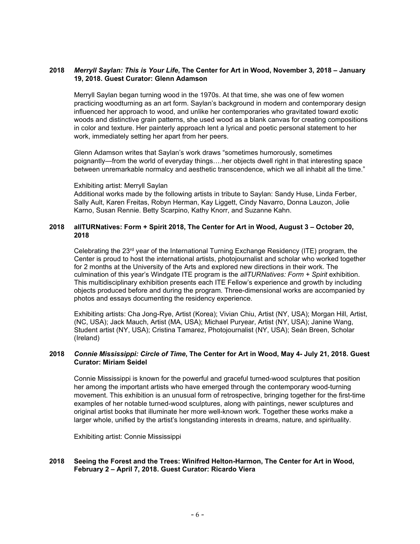# **2018** *Merryll Saylan: This is Your Life***, The Center for Art in Wood, November 3, 2018 – January 19, 2018. Guest Curator: Glenn Adamson**

Merryll Saylan began turning wood in the 1970s. At that time, she was one of few women practicing woodturning as an art form. Saylan's background in modern and contemporary design influenced her approach to wood, and unlike her contemporaries who gravitated toward exotic woods and distinctive grain patterns, she used wood as a blank canvas for creating compositions in color and texture. Her painterly approach lent a lyrical and poetic personal statement to her work, immediately setting her apart from her peers.

Glenn Adamson writes that Saylan's work draws "sometimes humorously, sometimes poignantly—from the world of everyday things….her objects dwell right in that interesting space between unremarkable normalcy and aesthetic transcendence, which we all inhabit all the time."

#### Exhibiting artist: Merryll Saylan

Additional works made by the following artists in tribute to Saylan: Sandy Huse, Linda Ferber, Sally Ault, Karen Freitas, Robyn Herman, Kay Liggett, Cindy Navarro, Donna Lauzon, Jolie Karno, Susan Rennie. Betty Scarpino, Kathy Knorr, and Suzanne Kahn.

### **2018 allTURNatives: Form + Spirit 2018, The Center for Art in Wood, August 3 – October 20, 2018**

Celebrating the 23<sup>rd</sup> year of the International Turning Exchange Residency (ITE) program, the Center is proud to host the international artists, photojournalist and scholar who worked together for 2 months at the University of the Arts and explored new directions in their work. The culmination of this year's Windgate ITE program is the *allTURNatives: Form + Spirit* exhibition. This multidisciplinary exhibition presents each ITE Fellow's experience and growth by including objects produced before and during the program. Three-dimensional works are accompanied by photos and essays documenting the residency experience.

Exhibiting artists: Cha Jong-Rye, Artist (Korea); Vivian Chiu, Artist (NY, USA); Morgan Hill, Artist, (NC, USA); Jack Mauch, Artist (MA, USA); Michael Puryear, Artist (NY, USA); Janine Wang, Student artist (NY, USA); Cristina Tamarez, Photojournalist (NY, USA); Seán Breen, Scholar (Ireland)

#### **2018** *Connie Mississippi: Circle of Time***, The Center for Art in Wood, May 4- July 21, 2018. Guest Curator: Miriam Seidel**

Connie Mississippi is known for the powerful and graceful turned-wood sculptures that position her among the important artists who have emerged through the contemporary wood-turning movement. This exhibition is an unusual form of retrospective, bringing together for the first-time examples of her notable turned-wood sculptures, along with paintings, newer sculptures and original artist books that illuminate her more well-known work. Together these works make a larger whole, unified by the artist's longstanding interests in dreams, nature, and spirituality.

Exhibiting artist: Connie Mississippi

# **2018 Seeing the Forest and the Trees: Winifred Helton-Harmon, The Center for Art in Wood, February 2 – April 7, 2018. Guest Curator: Ricardo Viera**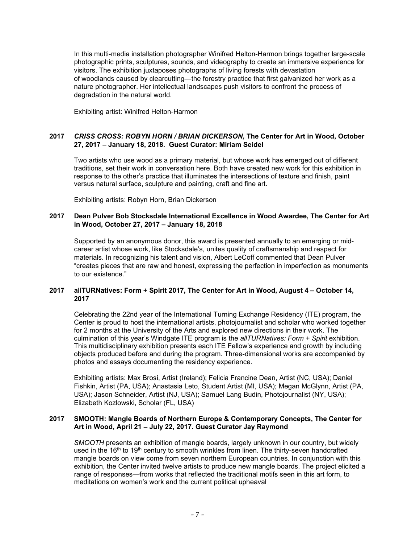In this multi-media installation photographer Winifred Helton-Harmon brings together large-scale photographic prints, sculptures, sounds, and videography to create an immersive experience for visitors. The exhibition juxtaposes photographs of living forests with devastation of woodlands caused by clearcutting—the forestry practice that first galvanized her work as a nature photographer. Her intellectual landscapes push visitors to confront the process of degradation in the natural world.

Exhibiting artist: Winifred Helton-Harmon

# **2017** *CRISS CROSS: ROBYN HORN / BRIAN DICKERSON,* **The Center for Art in Wood, October 27, 2017 – January 18, 2018. Guest Curator: Miriam Seidel**

Two artists who use wood as a primary material, but whose work has emerged out of different traditions, set their work in conversation here. Both have created new work for this exhibition in response to the other's practice that illuminates the intersections of texture and finish, paint versus natural surface, sculpture and painting, craft and fine art.

Exhibiting artists: Robyn Horn, Brian Dickerson

# **2017 Dean Pulver Bob Stocksdale International Excellence in Wood Awardee, The Center for Art in Wood, October 27, 2017 – January 18, 2018**

Supported by an anonymous donor, this award is presented annually to an emerging or midcareer artist whose work, like Stocksdale's, unites quality of craftsmanship and respect for materials. In recognizing his talent and vision, Albert LeCoff commented that Dean Pulver "creates pieces that are raw and honest, expressing the perfection in imperfection as monuments to our existence."

# **2017 allTURNatives: Form + Spirit 2017, The Center for Art in Wood, August 4 – October 14, 2017**

Celebrating the 22nd year of the International Turning Exchange Residency (ITE) program, the Center is proud to host the international artists, photojournalist and scholar who worked together for 2 months at the University of the Arts and explored new directions in their work. The culmination of this year's Windgate ITE program is the *allTURNatives: Form + Spirit* exhibition. This multidisciplinary exhibition presents each ITE Fellow's experience and growth by including objects produced before and during the program. Three-dimensional works are accompanied by photos and essays documenting the residency experience.

Exhibiting artists: Max Brosi, Artist (Ireland); Felicia Francine Dean, Artist (NC, USA); Daniel Fishkin, Artist (PA, USA); Anastasia Leto, Student Artist (MI, USA); Megan McGlynn, Artist (PA, USA); Jason Schneider, Artist (NJ, USA); Samuel Lang Budin, Photojournalist (NY, USA); Elizabeth Kozlowski, Scholar (FL, USA)

#### **2017 SMOOTH: Mangle Boards of Northern Europe & Contemporary Concepts, The Center for Art in Wood, April 21 – July 22, 2017. Guest Curator Jay Raymond**

*SMOOTH* presents an exhibition of mangle boards, largely unknown in our country, but widely used in the 16<sup>th</sup> to 19<sup>th</sup> century to smooth wrinkles from linen. The thirty-seven handcrafted mangle boards on view come from seven northern European countries. In conjunction with this exhibition, the Center invited twelve artists to produce new mangle boards. The project elicited a range of responses—from works that reflected the traditional motifs seen in this art form, to meditations on women's work and the current political upheaval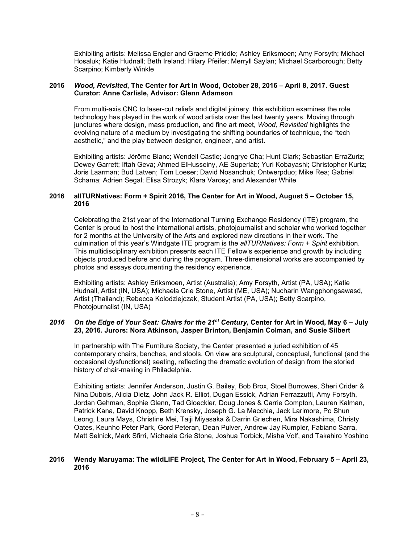Exhibiting artists: Melissa Engler and Graeme Priddle; Ashley Eriksmoen; Amy Forsyth; Michael Hosaluk; Katie Hudnall; Beth Ireland; Hilary Pfeifer; Merryll Saylan; Michael Scarborough; Betty Scarpino; Kimberly Winkle

### **2016** *Wood, Revisited***, The Center for Art in Wood, October 28, 2016 – April 8, 2017. Guest Curator: Anne Carlisle, Advisor: Glenn Adamson**

From multi-axis CNC to laser-cut reliefs and digital joinery, this exhibition examines the role technology has played in the work of wood artists over the last twenty years. Moving through junctures where design, mass production, and fine art meet, *Wood, Revisited* highlights the evolving nature of a medium by investigating the shifting boundaries of technique, the "tech aesthetic," and the play between designer, engineer, and artist.

Exhibiting artists: Jérôme Blanc; Wendell Castle; Jongrye Cha; Hunt Clark; Sebastian ErraZuriz; Dewey Garrett; Iftah Geva; Ahmed ElHusseiny, AE Superlab; Yuri Kobayashi; Christopher Kurtz; Joris Laarman; Bud Latven; Tom Loeser; David Nosanchuk; Ontwerpduo; Mike Rea; Gabriel Schama; Adrien Segal; Elisa Strozyk; Klara Varosy; and Alexander White

### **2016 allTURNatives: Form + Spirit 2016, The Center for Art in Wood, August 5 – October 15, 2016**

Celebrating the 21st year of the International Turning Exchange Residency (ITE) program, the Center is proud to host the international artists, photojournalist and scholar who worked together for 2 months at the University of the Arts and explored new directions in their work. The culmination of this year's Windgate ITE program is the *allTURNatives: Form + Spirit* exhibition. This multidisciplinary exhibition presents each ITE Fellow's experience and growth by including objects produced before and during the program. Three-dimensional works are accompanied by photos and essays documenting the residency experience.

Exhibiting artists: Ashley Eriksmoen, Artist (Australia); Amy Forsyth, Artist (PA, USA); Katie Hudnall, Artist (IN, USA); Michaela Crie Stone, Artist (ME, USA); Nucharin Wangphongsawasd, Artist (Thailand); Rebecca Kolodziejczak, Student Artist (PA, USA); Betty Scarpino, Photojournalist (IN, USA)

# *2016 On the Edge of Your Seat: Chairs for the 21st Century,* **Center for Art in Wood, May 6 – July 23, 2016. Jurors: Nora Atkinson, Jasper Brinton, Benjamin Colman, and Susie Silbert**

In partnership with The Furniture Society, the Center presented a juried exhibition of 45 contemporary chairs, benches, and stools. On view are sculptural, conceptual, functional (and the occasional dysfunctional) seating, reflecting the dramatic evolution of design from the storied history of chair-making in Philadelphia.

Exhibiting artists: Jennifer Anderson, Justin G. Bailey, Bob Brox, Stoel Burrowes, Sheri Crider & Nina Dubois, Alicia Dietz, John Jack R. Elliot, Dugan Essick, Adrian Ferrazzutti, Amy Forsyth, Jordan Gehman, Sophie Glenn, Tad Gloeckler, Doug Jones & Carrie Compton, Lauren Kalman, Patrick Kana, David Knopp, Beth Krensky, Joseph G. La Macchia, Jack Larimore, Po Shun Leong, Laura Mays, Christine Mei, Taiji Miyasaka & Darrin Griechen, Mira Nakashima, Christy Oates, Keunho Peter Park, Gord Peteran, Dean Pulver, Andrew Jay Rumpler, Fabiano Sarra, Matt Selnick, Mark Sfirri, Michaela Crie Stone, Joshua Torbick, Misha Volf, and Takahiro Yoshino

#### **2016 Wendy Maruyama: The wildLIFE Project, The Center for Art in Wood, February 5 – April 23, 2016**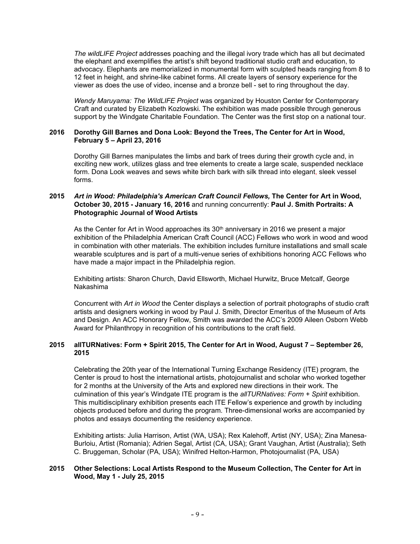*The wildLIFE Project* addresses poaching and the illegal ivory trade which has all but decimated the elephant and exemplifies the artist's shift beyond traditional studio craft and education, to advocacy. Elephants are memorialized in monumental form with sculpted heads ranging from 8 to 12 feet in height, and shrine-like cabinet forms. All create layers of sensory experience for the viewer as does the use of video, incense and a bronze bell - set to ring throughout the day.

*Wendy Maruyama: The WildLIFE Project* was organized by Houston Center for Contemporary Craft and curated by Elizabeth Kozlowski. The exhibition was made possible through generous support by the Windgate Charitable Foundation. The Center was the first stop on a national tour.

# **2016 Dorothy Gill Barnes and Dona Look: Beyond the Trees, The Center for Art in Wood, February 5 – April 23, 2016**

Dorothy Gill Barnes manipulates the limbs and bark of trees during their growth cycle and, in exciting new work, utilizes glass and tree elements to create a large scale, suspended necklace form. Dona Look weaves and sews white birch bark with silk thread into elegant, sleek vessel forms.

# **2015** *Art in Wood: Philadelphia's American Craft Council Fellows,* **The Center for Art in Wood, October 30, 2015 - January 16, 2016** and running concurrently: **Paul J. Smith Portraits: A Photographic Journal of Wood Artists**

As the Center for Art in Wood approaches its  $30<sup>th</sup>$  anniversary in 2016 we present a major exhibition of the Philadelphia American Craft Council (ACC) Fellows who work in wood and wood in combination with other materials. The exhibition includes furniture installations and small scale wearable sculptures and is part of a multi-venue series of exhibitions honoring ACC Fellows who have made a major impact in the Philadelphia region.

Exhibiting artists: Sharon Church, David Ellsworth, Michael Hurwitz, Bruce Metcalf, George Nakashima

Concurrent with *Art in Wood* the Center displays a selection of portrait photographs of studio craft artists and designers working in wood by Paul J. Smith, Director Emeritus of the Museum of Arts and Design. An ACC Honorary Fellow, Smith was awarded the ACC's 2009 Aileen Osborn Webb Award for Philanthropy in recognition of his contributions to the craft field.

# **2015 allTURNatives: Form + Spirit 2015, The Center for Art in Wood, August 7 – September 26, 2015**

Celebrating the 20th year of the International Turning Exchange Residency (ITE) program, the Center is proud to host the international artists, photojournalist and scholar who worked together for 2 months at the University of the Arts and explored new directions in their work. The culmination of this year's Windgate ITE program is the *allTURNatives: Form + Spirit* exhibition. This multidisciplinary exhibition presents each ITE Fellow's experience and growth by including objects produced before and during the program. Three-dimensional works are accompanied by photos and essays documenting the residency experience.

Exhibiting artists: Julia Harrison, Artist (WA, USA); Rex Kalehoff, Artist (NY, USA); Zina Manesa-Burloiu, Artist (Romania); Adrien Segal, Artist (CA, USA); Grant Vaughan, Artist (Australia); Seth C. Bruggeman, Scholar (PA, USA); Winifred Helton-Harmon, Photojournalist (PA, USA)

# **2015 Other Selections: Local Artists Respond to the Museum Collection, The Center for Art in Wood, May 1 - July 25, 2015**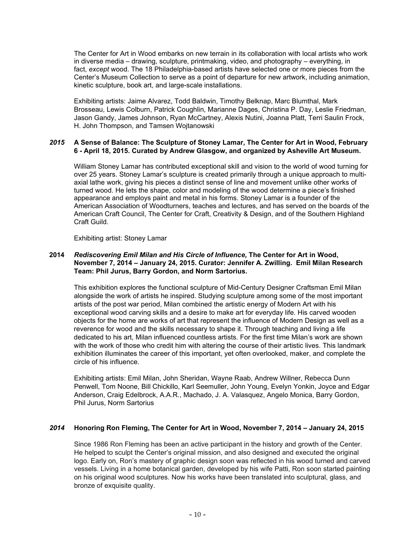The Center for Art in Wood embarks on new terrain in its collaboration with local artists who work in diverse media – drawing, sculpture, printmaking, video, and photography – everything, in fact, *except* wood. The 18 Philadelphia-based artists have selected one or more pieces from the Center's Museum Collection to serve as a point of departure for new artwork, including animation, kinetic sculpture, book art, and large-scale installations.

Exhibiting artists: Jaime Alvarez, Todd Baldwin, Timothy Belknap, Marc Blumthal, Mark Brosseau, Lewis Colburn, Patrick Coughlin, Marianne Dages, Christina P. Day, Leslie Friedman, Jason Gandy, James Johnson, Ryan McCartney, Alexis Nutini, Joanna Platt, Terri Saulin Frock, H. John Thompson, and Tamsen Wojtanowski

# *2015* **A Sense of Balance: The Sculpture of Stoney Lamar, The Center for Art in Wood, February 6 - April 18, 2015. Curated by Andrew Glasgow, and organized by Asheville Art Museum.**

William Stoney Lamar has contributed exceptional skill and vision to the world of wood turning for over 25 years. Stoney Lamar's sculpture is created primarily through a unique approach to multiaxial lathe work, giving his pieces a distinct sense of line and movement unlike other works of turned wood. He lets the shape, color and modeling of the wood determine a piece's finished appearance and employs paint and metal in his forms. Stoney Lamar is a founder of the American Association of Woodturners, teaches and lectures, and has served on the boards of the American Craft Council, The Center for Craft, Creativity & Design, and of the Southern Highland Craft Guild.

Exhibiting artist: Stoney Lamar

# **2014** *Rediscovering Emil Milan and His Circle of Influence,* **The Center for Art in Wood, November 7, 2014 – January 24, 2015. Curator: Jennifer A. Zwilling. Emil Milan Research Team: Phil Jurus, Barry Gordon, and Norm Sartorius.**

This exhibition explores the functional sculpture of Mid-Century Designer Craftsman Emil Milan alongside the work of artists he inspired. Studying sculpture among some of the most important artists of the post war period, Milan combined the artistic energy of Modern Art with his exceptional wood carving skills and a desire to make art for everyday life. His carved wooden objects for the home are works of art that represent the influence of Modern Design as well as a reverence for wood and the skills necessary to shape it. Through teaching and living a life dedicated to his art, Milan influenced countless artists. For the first time Milan's work are shown with the work of those who credit him with altering the course of their artistic lives. This landmark exhibition illuminates the career of this important, yet often overlooked, maker, and complete the circle of his influence.

Exhibiting artists: Emil Milan, John Sheridan, Wayne Raab, Andrew Willner, Rebecca Dunn Penwell, Tom Noone, Bill Chickillo, Karl Seemuller, John Young, Evelyn Yonkin, Joyce and Edgar Anderson, Craig Edelbrock, A.A.R., Machado, J. A. Valasquez, Angelo Monica, Barry Gordon, Phil Jurus, Norm Sartorius

# *2014* **Honoring Ron Fleming, The Center for Art in Wood, November 7, 2014 – January 24, 2015**

Since 1986 Ron Fleming has been an active participant in the history and growth of the Center. He helped to sculpt the Center's original mission, and also designed and executed the original logo. Early on, Ron's mastery of graphic design soon was reflected in his wood turned and carved vessels. Living in a home botanical garden, developed by his wife Patti, Ron soon started painting on his original wood sculptures. Now his works have been translated into sculptural, glass, and bronze of exquisite quality.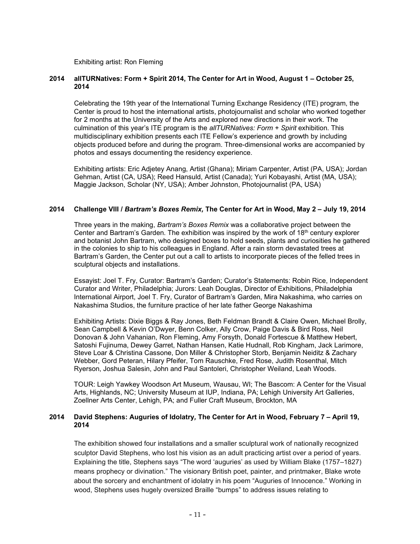Exhibiting artist: Ron Fleming

### **2014 allTURNatives: Form + Spirit 2014, The Center for Art in Wood, August 1 – October 25, 2014**

Celebrating the 19th year of the International Turning Exchange Residency (ITE) program, the Center is proud to host the international artists, photojournalist and scholar who worked together for 2 months at the University of the Arts and explored new directions in their work. The culmination of this year's ITE program is the *allTURNatives: Form + Spirit* exhibition. This multidisciplinary exhibition presents each ITE Fellow's experience and growth by including objects produced before and during the program. Three-dimensional works are accompanied by photos and essays documenting the residency experience.

Exhibiting artists: Eric Adjetey Anang, Artist (Ghana); Miriam Carpenter, Artist (PA, USA); Jordan Gehman, Artist (CA, USA); Reed Hansuld, Artist (Canada); Yuri Kobayashi, Artist (MA, USA); Maggie Jackson, Scholar (NY, USA); Amber Johnston, Photojournalist (PA, USA)

#### **2014 Challenge VIII /** *Bartram's Boxes Remix,* **The Center for Art in Wood, May 2 – July 19, 2014**

Three years in the making, *Bartram's Boxes Remix* was a collaborative project between the Center and Bartram's Garden. The exhibition was inspired by the work of 18th century explorer and botanist John Bartram, who designed boxes to hold seeds, plants and curiosities he gathered in the colonies to ship to his colleagues in England. After a rain storm devastated trees at Bartram's Garden, the Center put out a call to artists to incorporate pieces of the felled trees in sculptural objects and installations.

Essayist: Joel T. Fry, Curator: Bartram's Garden; Curator's Statements: Robin Rice, Independent Curator and Writer, Philadelphia; Jurors: Leah Douglas, Director of Exhibitions, Philadelphia International Airport, Joel T. Fry, Curator of Bartram's Garden, Mira Nakashima, who carries on Nakashima Studios, the furniture practice of her late father George Nakashima

Exhibiting Artists: Dixie Biggs & Ray Jones, Beth Feldman Brandt & Claire Owen, Michael Brolly, Sean Campbell & Kevin O'Dwyer, Benn Colker, Ally Crow, Paige Davis & Bird Ross, Neil Donovan & John Vahanian, Ron Fleming, Amy Forsyth, Donald Fortescue & Matthew Hebert, Satoshi Fujinuma, Dewey Garret, Nathan Hansen, Katie Hudnall, Rob Kingham, Jack Larimore, Steve Loar & Christina Cassone, Don Miller & Christopher Storb, Benjamin Neiditz & Zachary Webber, Gord Peteran, Hilary Pfeifer, Tom Rauschke, Fred Rose, Judith Rosenthal, Mitch Ryerson, Joshua Salesin, John and Paul Santoleri, Christopher Weiland, Leah Woods.

TOUR: Leigh Yawkey Woodson Art Museum, Wausau, WI; The Bascom: A Center for the Visual Arts, Highlands, NC; University Museum at IUP, Indiana, PA; Lehigh University Art Galleries, Zoellner Arts Center, Lehigh, PA; and Fuller Craft Museum, Brockton, MA

### **2014 David Stephens: Auguries of Idolatry***,* **The Center for Art in Wood, February 7 – April 19, 2014**

The exhibition showed four installations and a smaller sculptural work of nationally recognized sculptor David Stephens, who lost his vision as an adult practicing artist over a period of years. Explaining the title, Stephens says "The word 'auguries' as used by William Blake (1757–1827) means prophecy or divination." The visionary British poet, painter, and printmaker, Blake wrote about the sorcery and enchantment of idolatry in his poem "Auguries of Innocence." Working in wood, Stephens uses hugely oversized Braille "bumps" to address issues relating to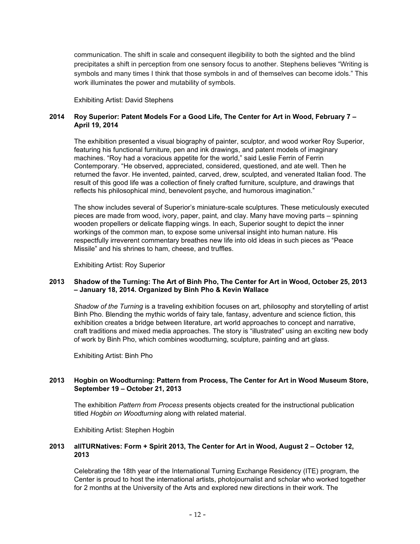communication. The shift in scale and consequent illegibility to both the sighted and the blind precipitates a shift in perception from one sensory focus to another. Stephens believes "Writing is symbols and many times I think that those symbols in and of themselves can become idols." This work illuminates the power and mutability of symbols.

Exhibiting Artist: David Stephens

# **2014 Roy Superior: Patent Models For a Good Life***,* **The Center for Art in Wood, February 7 – April 19, 2014**

The exhibition presented a visual biography of painter, sculptor, and wood worker Roy Superior, featuring his functional furniture, pen and ink drawings, and patent models of imaginary machines. "Roy had a voracious appetite for the world," said Leslie Ferrin of Ferrin Contemporary. "He observed, appreciated, considered, questioned, and ate well. Then he returned the favor. He invented, painted, carved, drew, sculpted, and venerated Italian food. The result of this good life was a collection of finely crafted furniture, sculpture, and drawings that reflects his philosophical mind, benevolent psyche, and humorous imagination."

The show includes several of Superior's miniature-scale sculptures. These meticulously executed pieces are made from wood, ivory, paper, paint, and clay. Many have moving parts – spinning wooden propellers or delicate flapping wings. In each, Superior sought to depict the inner workings of the common man, to expose some universal insight into human nature. His respectfully irreverent commentary breathes new life into old ideas in such pieces as "Peace Missile" and his shrines to ham, cheese, and truffles.

Exhibiting Artist: Roy Superior

# **2013 Shadow of the Turning: The Art of Binh Pho, The Center for Art in Wood, October 25, 2013 – January 18, 2014. Organized by Binh Pho & Kevin Wallace**

*Shadow of the Turning* is a traveling exhibition focuses on art, philosophy and storytelling of artist Binh Pho. Blending the mythic worlds of fairy tale, fantasy, adventure and science fiction, this exhibition creates a bridge between literature, art world approaches to concept and narrative, craft traditions and mixed media approaches. The story is "illustrated" using an exciting new body of work by Binh Pho, which combines woodturning, sculpture, painting and art glass.

Exhibiting Artist: Binh Pho

# **2013 Hogbin on Woodturning: Pattern from Process, The Center for Art in Wood Museum Store, September 19 – October 21, 2013**

The exhibition *Pattern from Process* presents objects created for the instructional publication titled *Hogbin on Woodturning* along with related material.

Exhibiting Artist: Stephen Hogbin

# **2013 allTURNatives: Form + Spirit 2013, The Center for Art in Wood, August 2 – October 12, 2013**

Celebrating the 18th year of the International Turning Exchange Residency (ITE) program, the Center is proud to host the international artists, photojournalist and scholar who worked together for 2 months at the University of the Arts and explored new directions in their work. The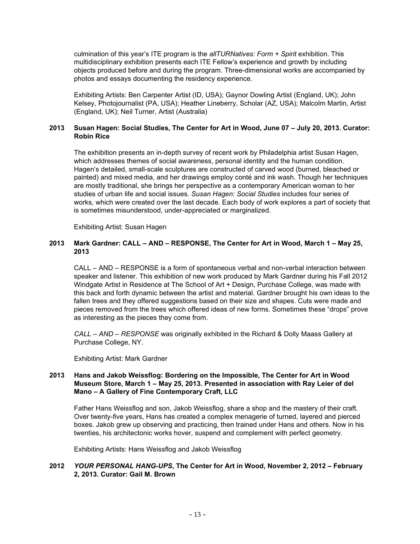culmination of this year's ITE program is the *allTURNatives: Form + Spirit* exhibition. This multidisciplinary exhibition presents each ITE Fellow's experience and growth by including objects produced before and during the program. Three-dimensional works are accompanied by photos and essays documenting the residency experience.

Exhibiting Artists: Ben Carpenter Artist (ID, USA); Gaynor Dowling Artist (England, UK); John Kelsey, Photojournalist (PA, USA); Heather Lineberry, Scholar (AZ, USA); Malcolm Martin, Artist (England, UK); Neil Turner, Artist (Australia)

# **2013 Susan Hagen: Social Studies, The Center for Art in Wood, June 07 – July 20, 2013. Curator: Robin Rice**

The exhibition presents an in-depth survey of recent work by Philadelphia artist Susan Hagen, which addresses themes of social awareness, personal identity and the human condition. Hagen's detailed, small-scale sculptures are constructed of carved wood (burned, bleached or painted) and mixed media, and her drawings employ conté and ink wash. Though her techniques are mostly traditional, she brings her perspective as a contemporary American woman to her studies of urban life and social issues. *Susan Hagen: Social Studies* includes four series of works, which were created over the last decade. Each body of work explores a part of society that is sometimes misunderstood, under-appreciated or marginalized.

Exhibiting Artist: Susan Hagen

# **2013 Mark Gardner: CALL – AND – RESPONSE, The Center for Art in Wood, March 1 – May 25, 2013**

CALL – AND – RESPONSE is a form of spontaneous verbal and non-verbal interaction between speaker and listener. This exhibition of new work produced by Mark Gardner during his Fall 2012 Windgate Artist in Residence at The School of Art + Design, Purchase College, was made with this back and forth dynamic between the artist and material. Gardner brought his own ideas to the fallen trees and they offered suggestions based on their size and shapes. Cuts were made and pieces removed from the trees which offered ideas of new forms. Sometimes these "drops" prove as interesting as the pieces they come from.

*CALL – AND – RESPONSE* was originally exhibited in the Richard & Dolly Maass Gallery at Purchase College, NY.

Exhibiting Artist: Mark Gardner

# **2013 Hans and Jakob Weissflog: Bordering on the Impossible, The Center for Art in Wood Museum Store, March 1 – May 25, 2013. Presented in association with Ray Leier of del Mano – A Gallery of Fine Contemporary Craft, LLC**

Father Hans Weissflog and son, Jakob Weissflog, share a shop and the mastery of their craft. Over twenty-five years, Hans has created a complex menagerie of turned, layered and pierced boxes. Jakob grew up observing and practicing, then trained under Hans and others. Now in his twenties, his architectonic works hover, suspend and complement with perfect geometry.

Exhibiting Artists: Hans Weissflog and Jakob Weissflog

# **2012** *YOUR PERSONAL HANG-UPS***, The Center for Art in Wood, November 2, 2012 – February 2, 2013. Curator: Gail M. Brown**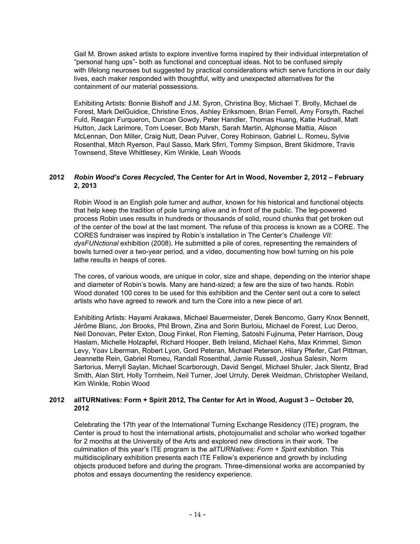Gail M. Brown asked artists to explore inventive forms inspired by their individual interpretation of "personal hang ups"- both as functional and conceptual ideas. Not to be confused simply with lifelong neuroses but suggested by practical considerations which serve functions in our daily lives, each maker responded with thoughtful, witty and unexpected alternatives for the containment of our material possessions.

Exhibiting Artists: Bonnie Bishoff and J.M. Syron, Christina Boy, Michael T. Brolly, Michael de Forest, Mark DelGuidice, Christine Enos, Ashley Eriksmoen, Brian Ferrell, Amy Forsyth, Rachel Fuld, Reagan Furqueron, Duncan Gowdy, Peter Handler, Thomas Huang, Katie Hudnall, Matt Hutton, Jack Larimore, Tom Loeser, Bob Marsh, Sarah Martin, Alphonse Mattia, Alison McLennan, Don Miller, Craig Nutt, Dean Pulver, Corey Robinson, Gabriel L. Romeu, Sylvie Rosenthal, Mitch Ryerson, Paul Sasso, Mark Sfirri, Tommy Simpson, Brent Skidmore, Travis Townsend, Steve Whittlesey, Kim Winkle, Leah Woods

# **2012** *Robin Wood's Cores Recycled***, The Center for Art in Wood, November 2, 2012 – February 2, 2013**

Robin Wood is an English pole turner and author, known for his historical and functional objects that help keep the tradition of pole turning alive and in front of the public. The leg-powered process Robin uses results in hundreds or thousands of solid, round chunks that get broken out of the center of the bowl at the last moment. The refuse of this process is known as a CORE. The CORES fundraiser was inspired by Robin's installation in The Center's *Challenge VII: dysFUNctional* exhibition (2008). He submitted a pile of cores, representing the remainders of bowls turned over a two-year period, and a video, documenting how bowl turning on his pole lathe results in heaps of cores.

The cores, of various woods, are unique in color, size and shape, depending on the interior shape and diameter of Robin's bowls. Many are hand-sized; a few are the size of two hands. Robin Wood donated 100 cores to be used for this exhibition and the Center sent out a core to select artists who have agreed to rework and turn the Core into a new piece of art.

Exhibiting Artists: Hayami Arakawa, Michael Bauermeister, Derek Bencomo, Garry Knox Bennett, Jérôme Blanc, Jon Brooks, Phil Brown, Zina and Sorin Burloiu, Michael de Forest, Luc Deroo, Neil Donovan, Peter Exton, Doug Finkel, Ron Fleming, Satoshi Fujinuma, Peter Harrison, Doug Haslam, Michelle Holzapfel, Richard Hooper, Beth Ireland, Michael Kehs, Max Krimmel, Simon Levy, Yoav Liberman, Robert Lyon, Gord Peteran, Michael Peterson, Hilary Pfeifer, Carl Pittman, Jeannette Rein, Gabriel Romeu, Randall Rosenthal, Jamie Russell, Joshua Salesin, Norm Sartorius, Merryll Saylan, Michael Scarborough, David Sengel, Michael Shuler, Jack Slentz, Brad Smith, Alan Stirt, Holly Tornheim, Neil Turner, Joel Urruty, Derek Weidman, Christopher Weiland, Kim Winkle, Robin Wood

# **2012 allTURNatives: Form + Spirit 2012, The Center for Art in Wood, August 3 – October 20, 2012**

Celebrating the 17th year of the International Turning Exchange Residency (ITE) program, the Center is proud to host the international artists, photojournalist and scholar who worked together for 2 months at the University of the Arts and explored new directions in their work. The culmination of this year's ITE program is the *allTURNatives: Form + Spirit* exhibition. This multidisciplinary exhibition presents each ITE Fellow's experience and growth by including objects produced before and during the program. Three-dimensional works are accompanied by photos and essays documenting the residency experience.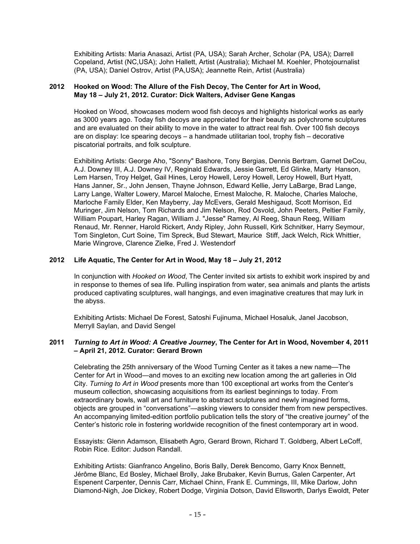Exhibiting Artists: Maria Anasazi, Artist (PA, USA); Sarah Archer, Scholar (PA, USA); Darrell Copeland, Artist (NC,USA); John Hallett, Artist (Australia); Michael M. Koehler, Photojournalist (PA, USA); Daniel Ostrov, Artist (PA,USA); Jeannette Rein, Artist (Australia)

# **2012 Hooked on Wood: The Allure of the Fish Decoy, The Center for Art in Wood, May 18 – July 21, 2012. Curator: Dick Walters, Adviser Gene Kangas**

Hooked on Wood, showcases modern wood fish decoys and highlights historical works as early as 3000 years ago. Today fish decoys are appreciated for their beauty as polychrome sculptures and are evaluated on their ability to move in the water to attract real fish. Over 100 fish decoys are on display: Ice spearing decoys – a handmade utilitarian tool, trophy fish – decorative piscatorial portraits, and folk sculpture.

Exhibiting Artists: George Aho, "Sonny" Bashore, Tony Bergias, Dennis Bertram, Garnet DeCou, A.J. Downey III, A.J. Downey IV, Reginald Edwards, Jessie Garrett, Ed Glinke, Marty Hanson, Lem Harsen, Troy Helget, Gail Hines, Leroy Howell, Leroy Howell, Leroy Howell, Burt Hyatt, Hans Janner, Sr., John Jensen, Thayne Johnson, Edward Kellie, Jerry LaBarge, Brad Lange, Larry Lange, Walter Lowery, Marcel Maloche, Ernest Maloche, R. Maloche, Charles Maloche, Marloche Family Elder, Ken Mayberry, Jay McEvers, Gerald Meshigaud, Scott Morrison, Ed Muringer, Jim Nelson, Tom Richards and Jim Nelson, Rod Osvold, John Peeters, Peltier Family, William Poupart, Harley Ragan, William J. "Jesse" Ramey, Al Reeg, Shaun Reeg, William Renaud, Mr. Renner, Harold Rickert, Andy Ripley, John Russell, Kirk Schnitker, Harry Seymour, Tom Singleton, Curt Soine, Tim Spreck, Bud Stewart, Maurice Stiff, Jack Welch, Rick Whittier, Marie Wingrove, Clarence Zielke, Fred J. Westendorf

# **2012 Life Aquatic, The Center for Art in Wood, May 18 – July 21, 2012**

In conjunction with *Hooked on Wood*, The Center invited six artists to exhibit work inspired by and in response to themes of sea life. Pulling inspiration from water, sea animals and plants the artists produced captivating sculptures, wall hangings, and even imaginative creatures that may lurk in the abyss.

Exhibiting Artists: Michael De Forest, Satoshi Fujinuma, Michael Hosaluk, Janel Jacobson, Merryll Saylan, and David Sengel

# **2011** *Turning to Art in Wood: A Creative Journey***, The Center for Art in Wood, November 4, 2011 – April 21, 2012. Curator: Gerard Brown**

Celebrating the 25th anniversary of the Wood Turning Center as it takes a new name—The Center for Art in Wood—and moves to an exciting new location among the art galleries in Old City. *Turning to Art in Wood* presents more than 100 exceptional art works from the Center's museum collection, showcasing acquisitions from its earliest beginnings to today. From extraordinary bowls, wall art and furniture to abstract sculptures and newly imagined forms, objects are grouped in "conversations"—asking viewers to consider them from new perspectives. An accompanying limited-edition portfolio publication tells the story of "the creative journey" of the Center's historic role in fostering worldwide recognition of the finest contemporary art in wood.

Essayists: Glenn Adamson, Elisabeth Agro, Gerard Brown, Richard T. Goldberg, Albert LeCoff, Robin Rice. Editor: Judson Randall.

Exhibiting Artists: Gianfranco Angelino, Boris Bally, Derek Bencomo, Garry Knox Bennett, Jérôme Blanc, Ed Bosley, Michael Brolly, Jake Brubaker, Kevin Burrus, Galen Carpenter, Art Espenent Carpenter, Dennis Carr, Michael Chinn, Frank E. Cummings, III, Mike Darlow, John Diamond-Nigh, Joe Dickey, Robert Dodge, Virginia Dotson, David Ellsworth, Darlys Ewoldt, Peter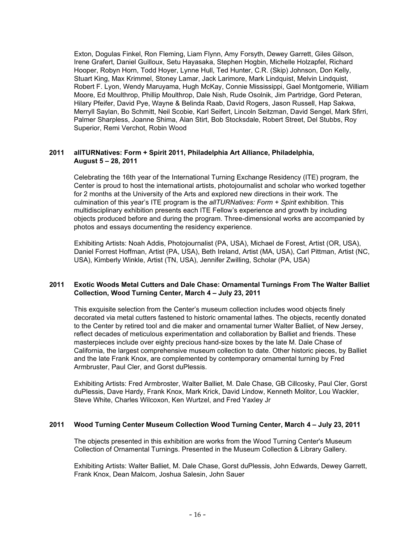Exton, Dogulas Finkel, Ron Fleming, Liam Flynn, Amy Forsyth, Dewey Garrett, Giles Gilson, Irene Grafert, Daniel Guilloux, Setu Hayasaka, Stephen Hogbin, Michelle Holzapfel, Richard Hooper, Robyn Horn, Todd Hoyer, Lynne Hull, Ted Hunter, C.R. (Skip) Johnson, Don Kelly, Stuart King, Max Krimmel, Stoney Lamar, Jack Larimore, Mark Lindquist, Melvin Lindquist, Robert F. Lyon, Wendy Maruyama, Hugh McKay, Connie Mississippi, Gael Montgomerie, William Moore, Ed Moulthrop, Phillip Moulthrop, Dale Nish, Rude Osolnik, Jim Partridge, Gord Peteran, Hilary Pfeifer, David Pye, Wayne & Belinda Raab, David Rogers, Jason Russell, Hap Sakwa, Merryll Saylan, Bo Schmitt, Neil Scobie, Karl Seifert, Lincoln Seitzman, David Sengel, Mark Sfirri, Palmer Sharpless, Joanne Shima, Alan Stirt, Bob Stocksdale, Robert Street, Del Stubbs, Roy Superior, Remi Verchot, Robin Wood

# **2011 allTURNatives: Form + Spirit 2011, Philadelphia Art Alliance, Philadelphia, August 5 – 28, 2011**

Celebrating the 16th year of the International Turning Exchange Residency (ITE) program, the Center is proud to host the international artists, photojournalist and scholar who worked together for 2 months at the University of the Arts and explored new directions in their work. The culmination of this year's ITE program is the *allTURNatives: Form + Spirit* exhibition. This multidisciplinary exhibition presents each ITE Fellow's experience and growth by including objects produced before and during the program. Three-dimensional works are accompanied by photos and essays documenting the residency experience.

Exhibiting Artists: Noah Addis, Photojournalist (PA, USA), Michael de Forest, Artist (OR, USA), Daniel Forrest Hoffman, Artist (PA, USA), Beth Ireland, Artist (MA, USA), Carl Pittman, Artist (NC, USA), Kimberly Winkle, Artist (TN, USA), Jennifer Zwilling, Scholar (PA, USA)

# **2011 Exotic Woods Metal Cutters and Dale Chase: Ornamental Turnings From The Walter Balliet Collection, Wood Turning Center, March 4 – July 23, 2011**

This exquisite selection from the Center's museum collection includes wood objects finely decorated via metal cutters fastened to historic ornamental lathes. The objects, recently donated to the Center by retired tool and die maker and ornamental turner Walter Balliet, of New Jersey, reflect decades of meticulous experimentation and collaboration by Balliet and friends. These masterpieces include over eighty precious hand-size boxes by the late M. Dale Chase of California, the largest comprehensive museum collection to date. Other historic pieces, by Balliet and the late Frank Knox, are complemented by contemporary ornamental turning by Fred Armbruster, Paul Cler, and Gorst duPlessis.

Exhibiting Artists: Fred Armbroster, Walter Balliet, M. Dale Chase, GB Cillcosky, Paul Cler, Gorst duPlessis, Dave Hardy, Frank Knox, Mark Krick, David Lindow, Kenneth Molitor, Lou Wackler, Steve White, Charles Wilcoxon, Ken Wurtzel, and Fred Yaxley Jr

#### **2011 Wood Turning Center Museum Collection Wood Turning Center, March 4 – July 23, 2011**

The objects presented in this exhibition are works from the Wood Turning Center's Museum Collection of Ornamental Turnings. Presented in the Museum Collection & Library Gallery.

Exhibiting Artists: Walter Balliet, M. Dale Chase, Gorst duPlessis, John Edwards, Dewey Garrett, Frank Knox, Dean Malcom, Joshua Salesin, John Sauer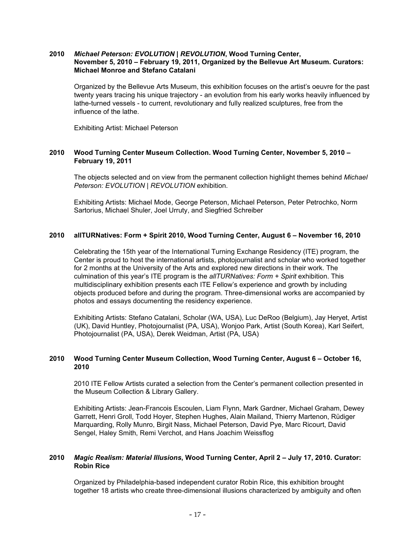# **2010** *Michael Peterson: EVOLUTION | REVOLUTION***, Wood Turning Center, November 5, 2010 – February 19, 2011, Organized by the Bellevue Art Museum. Curators: Michael Monroe and Stefano Catalani**

Organized by the Bellevue Arts Museum, this exhibition focuses on the artist's oeuvre for the past twenty years tracing his unique trajectory - an evolution from his early works heavily influenced by lathe-turned vessels - to current, revolutionary and fully realized sculptures, free from the influence of the lathe.

Exhibiting Artist: Michael Peterson

# **2010 Wood Turning Center Museum Collection. Wood Turning Center, November 5, 2010 – February 19, 2011**

The objects selected and on view from the permanent collection highlight themes behind *Michael Peterson: EVOLUTION | REVOLUTION* exhibition.

Exhibiting Artists: Michael Mode, George Peterson, Michael Peterson, Peter Petrochko, Norm Sartorius, Michael Shuler, Joel Urruty, and Siegfried Schreiber

# **2010 allTURNatives: Form + Spirit 2010, Wood Turning Center, August 6 – November 16, 2010**

Celebrating the 15th year of the International Turning Exchange Residency (ITE) program, the Center is proud to host the international artists, photojournalist and scholar who worked together for 2 months at the University of the Arts and explored new directions in their work. The culmination of this year's ITE program is the *allTURNatives: Form + Spirit* exhibition. This multidisciplinary exhibition presents each ITE Fellow's experience and growth by including objects produced before and during the program. Three-dimensional works are accompanied by photos and essays documenting the residency experience.

Exhibiting Artists: Stefano Catalani, Scholar (WA, USA), Luc DeRoo (Belgium), Jay Heryet, Artist (UK), David Huntley, Photojournalist (PA, USA), Wonjoo Park, Artist (South Korea), Karl Seifert, Photojournalist (PA, USA), Derek Weidman, Artist (PA, USA)

# **2010 Wood Turning Center Museum Collection, Wood Turning Center, August 6 – October 16, 2010**

2010 ITE Fellow Artists curated a selection from the Center's permanent collection presented in the Museum Collection & Library Gallery.

Exhibiting Artists: Jean-Francois Escoulen, Liam Flynn, Mark Gardner, Michael Graham, Dewey Garrett, Henri Groll, Todd Hoyer, Stephen Hughes, Alain Mailand, Thierry Martenon, Rüdiger Marquarding, Rolly Munro, Birgit Nass, Michael Peterson, David Pye, Marc Ricourt, David Sengel, Haley Smith, Remi Verchot, and Hans Joachim Weissflog

#### **2010** *Magic Realism: Material Illusions***, Wood Turning Center, April 2 – July 17, 2010. Curator: Robin Rice**

Organized by Philadelphia-based independent curator Robin Rice, this exhibition brought together 18 artists who create three-dimensional illusions characterized by ambiguity and often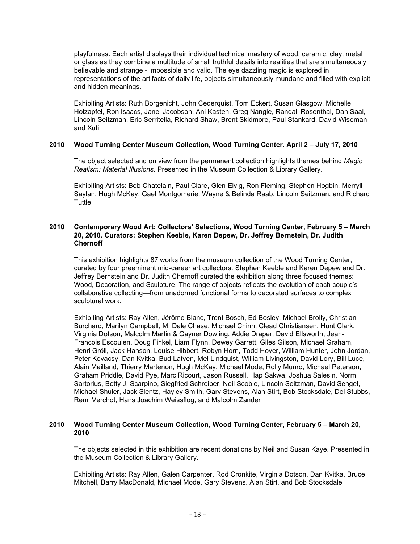playfulness. Each artist displays their individual technical mastery of wood, ceramic, clay, metal or glass as they combine a multitude of small truthful details into realities that are simultaneously believable and strange - impossible and valid. The eye dazzling magic is explored in representations of the artifacts of daily life, objects simultaneously mundane and filled with explicit and hidden meanings.

Exhibiting Artists: Ruth Borgenicht, John Cederquist, Tom Eckert, Susan Glasgow, Michelle Holzapfel, Ron Isaacs, Janel Jacobson, Ani Kasten, Greg Nangle, Randall Rosenthal, Dan Saal, Lincoln Seitzman, Eric Serritella, Richard Shaw, Brent Skidmore, Paul Stankard, David Wiseman and Xuti

# **2010 Wood Turning Center Museum Collection, Wood Turning Center. April 2 – July 17, 2010**

The object selected and on view from the permanent collection highlights themes behind *Magic Realism: Material Illusions*. Presented in the Museum Collection & Library Gallery.

Exhibiting Artists: Bob Chatelain, Paul Clare, Glen Elvig, Ron Fleming, Stephen Hogbin, Merryll Saylan, Hugh McKay, Gael Montgomerie, Wayne & Belinda Raab, Lincoln Seitzman, and Richard **Tuttle** 

# **2010 Contemporary Wood Art: Collectors' Selections, Wood Turning Center, February 5 – March 20, 2010. Curators: Stephen Keeble, Karen Depew, Dr. Jeffrey Bernstein, Dr. Judith Chernoff**

This exhibition highlights 87 works from the museum collection of the Wood Turning Center, curated by four preeminent mid-career art collectors. Stephen Keeble and Karen Depew and Dr. Jeffrey Bernstein and Dr. Judith Chernoff curated the exhibition along three focused themes: Wood, Decoration, and Sculpture. The range of objects reflects the evolution of each couple's collaborative collecting—from unadorned functional forms to decorated surfaces to complex sculptural work.

Exhibiting Artists: Ray Allen, Jérôme Blanc, Trent Bosch, Ed Bosley, Michael Brolly, Christian Burchard, Marilyn Campbell, M. Dale Chase, Michael Chinn, Clead Christiansen, Hunt Clark, Virginia Dotson, Malcolm Martin & Gayner Dowling, Addie Draper, David Ellsworth, Jean-Francois Escoulen, Doug Finkel, Liam Flynn, Dewey Garrett, Giles Gilson, Michael Graham, Henri Gröll, Jack Hanson, Louise Hibbert, Robyn Horn, Todd Hoyer, William Hunter, John Jordan, Peter Kovacsy, Dan Kvitka, Bud Latven, Mel Lindquist, William Livingston, David Lory, Bill Luce, Alain Mailland, Thierry Martenon, Hugh McKay, Michael Mode, Rolly Munro, Michael Peterson, Graham Priddle, David Pye, Marc Ricourt, Jason Russell, Hap Sakwa, Joshua Salesin, Norm Sartorius, Betty J. Scarpino, Siegfried Schreiber, Neil Scobie, Lincoln Seitzman, David Sengel, Michael Shuler, Jack Slentz, Hayley Smith, Gary Stevens, Alan Stirt, Bob Stocksdale, Del Stubbs, Remi Verchot, Hans Joachim Weissflog, and Malcolm Zander

# **2010 Wood Turning Center Museum Collection, Wood Turning Center, February 5 – March 20, 2010**

The objects selected in this exhibition are recent donations by Neil and Susan Kaye. Presented in the Museum Collection & Library Gallery.

Exhibiting Artists: Ray Allen, Galen Carpenter, Rod Cronkite, Virginia Dotson, Dan Kvitka, Bruce Mitchell, Barry MacDonald, Michael Mode, Gary Stevens. Alan Stirt, and Bob Stocksdale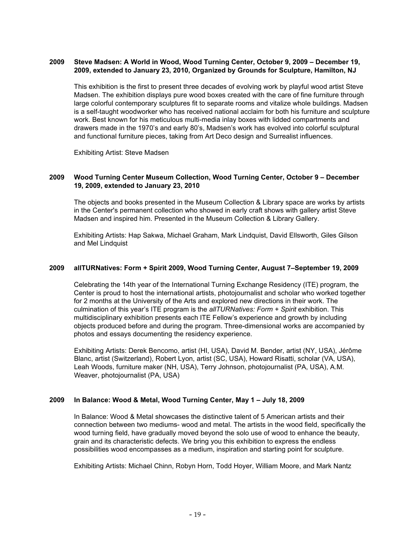# **2009 Steve Madsen: A World in Wood, Wood Turning Center, October 9, 2009 – December 19, 2009, extended to January 23, 2010, Organized by Grounds for Sculpture, Hamilton, NJ**

This exhibition is the first to present three decades of evolving work by playful wood artist Steve Madsen. The exhibition displays pure wood boxes created with the care of fine furniture through large colorful contemporary sculptures fit to separate rooms and vitalize whole buildings. Madsen is a self-taught woodworker who has received national acclaim for both his furniture and sculpture work. Best known for his meticulous multi-media inlay boxes with lidded compartments and drawers made in the 1970's and early 80's, Madsen's work has evolved into colorful sculptural and functional furniture pieces, taking from Art Deco design and Surrealist influences.

Exhibiting Artist: Steve Madsen

# **2009 Wood Turning Center Museum Collection, Wood Turning Center, October 9 – December 19, 2009, extended to January 23, 2010**

The objects and books presented in the Museum Collection & Library space are works by artists in the Center's permanent collection who showed in early craft shows with gallery artist Steve Madsen and inspired him. Presented in the Museum Collection & Library Gallery.

Exhibiting Artists: Hap Sakwa, Michael Graham, Mark Lindquist, David Ellsworth, Giles Gilson and Mel Lindquist

#### **2009 allTURNatives: Form + Spirit 2009, Wood Turning Center, August 7–September 19, 2009**

Celebrating the 14th year of the International Turning Exchange Residency (ITE) program, the Center is proud to host the international artists, photojournalist and scholar who worked together for 2 months at the University of the Arts and explored new directions in their work. The culmination of this year's ITE program is the *allTURNatives: Form + Spirit* exhibition. This multidisciplinary exhibition presents each ITE Fellow's experience and growth by including objects produced before and during the program. Three-dimensional works are accompanied by photos and essays documenting the residency experience.

Exhibiting Artists: Derek Bencomo, artist (HI, USA), David M. Bender, artist (NY, USA), Jérôme Blanc, artist (Switzerland), Robert Lyon, artist (SC, USA), Howard Risatti, scholar (VA, USA), Leah Woods, furniture maker (NH, USA), Terry Johnson, photojournalist (PA, USA), A.M. Weaver, photojournalist (PA, USA)

# **2009 In Balance: Wood & Metal, Wood Turning Center, May 1 – July 18, 2009**

In Balance: Wood & Metal showcases the distinctive talent of 5 American artists and their connection between two mediums- wood and metal. The artists in the wood field, specifically the wood turning field, have gradually moved beyond the solo use of wood to enhance the beauty, grain and its characteristic defects. We bring you this exhibition to express the endless possibilities wood encompasses as a medium, inspiration and starting point for sculpture.

Exhibiting Artists: Michael Chinn, Robyn Horn, Todd Hoyer, William Moore, and Mark Nantz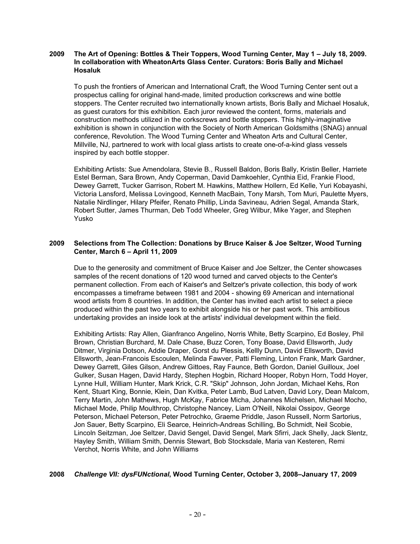# **2009 The Art of Opening: Bottles & Their Toppers, Wood Turning Center, May 1 – July 18, 2009. In collaboration with WheatonArts Glass Center. Curators: Boris Bally and Michael Hosaluk**

To push the frontiers of American and International Craft, the Wood Turning Center sent out a prospectus calling for original hand-made, limited production corkscrews and wine bottle stoppers. The Center recruited two internationally known artists, Boris Bally and Michael Hosaluk, as guest curators for this exhibition. Each juror reviewed the content, forms, materials and construction methods utilized in the corkscrews and bottle stoppers. This highly-imaginative exhibition is shown in conjunction with the Society of North American Goldsmiths (SNAG) annual conference, Revolution. The Wood Turning Center and Wheaton Arts and Cultural Center, Millville, NJ, partnered to work with local glass artists to create one-of-a-kind glass vessels inspired by each bottle stopper.

Exhibiting Artists: Sue Amendolara, Stevie B., Russell Baldon, Boris Bally, Kristin Beller, Harriete Estel Berman, Sara Brown, Andy Coperman, David Damkoehler, Cynthia Eid, Frankie Flood, Dewey Garrett, Tucker Garrison, Robert M. Hawkins, Matthew Hollern, Ed Kelle, Yuri Kobayashi, Victoria Lansford, Melissa Lovingood, Kenneth MacBain, Tony Marsh, Tom Muri, Paulette Myers, Natalie Nirdlinger, Hilary Pfeifer, Renato Phillip, Linda Savineau, Adrien Segal, Amanda Stark, Robert Sutter, James Thurman, Deb Todd Wheeler, Greg Wilbur, Mike Yager, and Stephen Yusko

# **2009 Selections from The Collection: Donations by Bruce Kaiser & Joe Seltzer, Wood Turning Center, March 6 – April 11, 2009**

Due to the generosity and commitment of Bruce Kaiser and Joe Seltzer, the Center showcases samples of the recent donations of 120 wood turned and carved objects to the Center's permanent collection. From each of Kaiser's and Seltzer's private collection, this body of work encompasses a timeframe between 1981 and 2004 - showing 69 American and international wood artists from 8 countries. In addition, the Center has invited each artist to select a piece produced within the past two years to exhibit alongside his or her past work. This ambitious undertaking provides an inside look at the artists' individual development within the field.

Exhibiting Artists: Ray Allen, Gianfranco Angelino, Norris White, Betty Scarpino, Ed Bosley, Phil Brown, Christian Burchard, M. Dale Chase, Buzz Coren, Tony Boase, David Ellsworth, Judy Ditmer, Virginia Dotson, Addie Draper, Gorst du Plessis, Kellly Dunn, David Ellsworth, David Ellsworth, Jean-Francois Escoulen, Melinda Fawver, Patti Fleming, Linton Frank, Mark Gardner, Dewey Garrett, Giles Gilson, Andrew Gittoes, Ray Faunce, Beth Gordon, Daniel Guilloux, Joel Gulker, Susan Hagen, David Hardy, Stephen Hogbin, Richard Hooper, Robyn Horn, Todd Hoyer, Lynne Hull, William Hunter, Mark Krick, C.R. "Skip" Johnson, John Jordan, Michael Kehs, Ron Kent, Stuart King, Bonnie, Klein, Dan Kvitka, Peter Lamb, Bud Latven, David Lory, Dean Malcom, Terry Martin, John Mathews, Hugh McKay, Fabrice Micha, Johannes Michelsen, Michael Mocho, Michael Mode, Philip Moulthrop, Christophe Nancey, Liam O'Neill, Nikolai Ossipov, George Peterson, Michael Peterson, Peter Petrochko, Graeme Priddle, Jason Russell, Norm Sartorius, Jon Sauer, Betty Scarpino, Eli Searce, Heinrich-Andreas Schilling, Bo Schmidt, Neil Scobie, Lincoln Seitzman, Joe Seltzer, David Sengel, David Sengel, Mark Sfirri, Jack Shelly, Jack Slentz, Hayley Smith, William Smith, Dennis Stewart, Bob Stocksdale, Maria van Kesteren, Remi Verchot, Norris White, and John Williams

# **2008** *Challenge VII: dysFUNctional***, Wood Turning Center, October 3, 2008–January 17, 2009**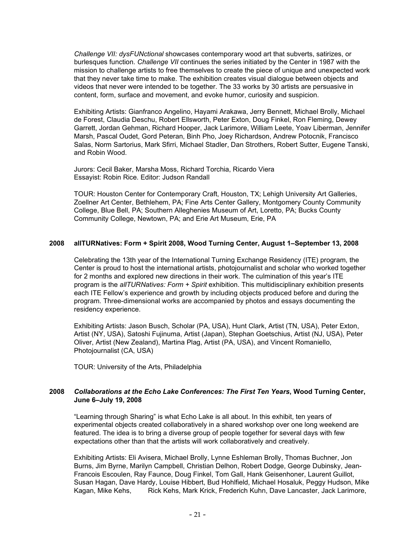*Challenge VII: dysFUNctional* showcases contemporary wood art that subverts, satirizes, or burlesques function. *Challenge VII* continues the series initiated by the Center in 1987 with the mission to challenge artists to free themselves to create the piece of unique and unexpected work that they never take time to make. The exhibition creates visual dialogue between objects and videos that never were intended to be together. The 33 works by 30 artists are persuasive in content, form, surface and movement, and evoke humor, curiosity and suspicion.

Exhibiting Artists: Gianfranco Angelino, Hayami Arakawa, Jerry Bennett, Michael Brolly, Michael de Forest, Claudia Deschu, Robert Ellsworth, Peter Exton, Doug Finkel, Ron Fleming, Dewey Garrett, Jordan Gehman, Richard Hooper, Jack Larimore, William Leete, Yoav Liberman, Jennifer Marsh, Pascal Oudet, Gord Peteran, Binh Pho, Joey Richardson, Andrew Potocnik, Francisco Salas, Norm Sartorius, Mark Sfirri, Michael Stadler, Dan Strothers, Robert Sutter, Eugene Tanski, and Robin Wood.

Jurors: Cecil Baker, Marsha Moss, Richard Torchia, Ricardo Viera Essayist: Robin Rice. Editor: Judson Randall

TOUR: Houston Center for Contemporary Craft, Houston, TX; Lehigh University Art Galleries, Zoellner Art Center, Bethlehem, PA; Fine Arts Center Gallery, Montgomery County Community College, Blue Bell, PA; Southern Alleghenies Museum of Art, Loretto, PA; Bucks County Community College, Newtown, PA; and Erie Art Museum, Erie, PA

# **2008 allTURNatives: Form + Spirit 2008, Wood Turning Center, August 1–September 13, 2008**

Celebrating the 13th year of the International Turning Exchange Residency (ITE) program, the Center is proud to host the international artists, photojournalist and scholar who worked together for 2 months and explored new directions in their work. The culmination of this year's ITE program is the *allTURNatives: Form + Spirit* exhibition. This multidisciplinary exhibition presents each ITE Fellow's experience and growth by including objects produced before and during the program. Three-dimensional works are accompanied by photos and essays documenting the residency experience.

Exhibiting Artists: Jason Busch, Scholar (PA, USA), Hunt Clark, Artist (TN, USA), Peter Exton, Artist (NY, USA), Satoshi Fujinuma, Artist (Japan), Stephan Goetschius, Artist (NJ, USA), Peter Oliver, Artist (New Zealand), Martina Plag, Artist (PA, USA), and Vincent Romaniello, Photojournalist (CA, USA)

TOUR: University of the Arts, Philadelphia

# **2008** *Collaborations at the Echo Lake Conferences: The First Ten Years***, Wood Turning Center, June 6–July 19, 2008**

"Learning through Sharing" is what Echo Lake is all about. In this exhibit, ten years of experimental objects created collaboratively in a shared workshop over one long weekend are featured. The idea is to bring a diverse group of people together for several days with few expectations other than that the artists will work collaboratively and creatively.

Exhibiting Artists: Eli Avisera, Michael Brolly, Lynne Eshleman Brolly, Thomas Buchner, Jon Burns, Jim Byrne, Marilyn Campbell, Christian Delhon, Robert Dodge, George Dubinsky, Jean-Francois Escoulen, Ray Faunce, Doug Finkel, Tom Gall, Hank Geisenhoner, Laurent Guillot, Susan Hagan, Dave Hardy, Louise Hibbert, Bud Hohlfield, Michael Hosaluk, Peggy Hudson, Mike Kagan, Mike Kehs, Rick Kehs, Mark Krick, Frederich Kuhn, Dave Lancaster, Jack Larimore,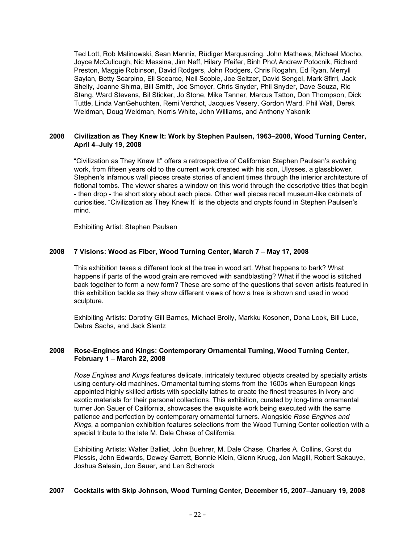Ted Lott, Rob Malinowski, Sean Mannix, Rüdiger Marquarding, John Mathews, Michael Mocho, Joyce McCullough, Nic Messina, Jim Neff, Hilary Pfeifer, Binh Pho\ Andrew Potocnik, Richard Preston, Maggie Robinson, David Rodgers, John Rodgers, Chris Rogahn, Ed Ryan, Merryll Saylan, Betty Scarpino, Eli Scearce, Neil Scobie, Joe Seltzer, David Sengel, Mark Sfirri, Jack Shelly, Joanne Shima, Bill Smith, Joe Smoyer, Chris Snyder, Phil Snyder, Dave Souza, Ric Stang, Ward Stevens, Bil Sticker, Jo Stone, Mike Tanner, Marcus Tatton, Don Thompson, Dick Tuttle, Linda VanGehuchten, Remi Verchot, Jacques Vesery, Gordon Ward, Phil Wall, Derek Weidman, Doug Weidman, Norris White, John Williams, and Anthony Yakonik

# **2008 Civilization as They Knew It: Work by Stephen Paulsen, 1963–2008, Wood Turning Center, April 4–July 19, 2008**

"Civilization as They Knew It" offers a retrospective of Californian Stephen Paulsen's evolving work, from fifteen years old to the current work created with his son, Ulysses, a glassblower. Stephen's infamous wall pieces create stories of ancient times through the interior architecture of fictional tombs. The viewer shares a window on this world through the descriptive titles that begin - then drop - the short story about each piece. Other wall pieces recall museum-like cabinets of curiosities. "Civilization as They Knew It" is the objects and crypts found in Stephen Paulsen's mind.

Exhibiting Artist: Stephen Paulsen

# **2008 7 Visions: Wood as Fiber, Wood Turning Center, March 7 – May 17, 2008**

This exhibition takes a different look at the tree in wood art. What happens to bark? What happens if parts of the wood grain are removed with sandblasting? What if the wood is stitched back together to form a new form? These are some of the questions that seven artists featured in this exhibition tackle as they show different views of how a tree is shown and used in wood sculpture.

Exhibiting Artists: Dorothy Gill Barnes, Michael Brolly, Markku Kosonen, Dona Look, Bill Luce, Debra Sachs, and Jack Slentz

# **2008 Rose-Engines and Kings: Contemporary Ornamental Turning, Wood Turning Center, February 1 – March 22, 2008**

*Rose Engines and Kings* features delicate, intricately textured objects created by specialty artists using century-old machines. Ornamental turning stems from the 1600s when European kings appointed highly skilled artists with specialty lathes to create the finest treasures in ivory and exotic materials for their personal collections. This exhibition, curated by long-time ornamental turner Jon Sauer of California, showcases the exquisite work being executed with the same patience and perfection by contemporary ornamental turners. Alongside *Rose Engines and Kings*, a companion exhibition features selections from the Wood Turning Center collection with a special tribute to the late M. Dale Chase of California.

Exhibiting Artists: Walter Balliet, John Buehrer, M. Dale Chase, Charles A. Collins, Gorst du Plessis, John Edwards, Dewey Garrett, Bonnie Klein, Glenn Krueg, Jon Magill, Robert Sakauye, Joshua Salesin, Jon Sauer, and Len Scherock

# **2007 Cocktails with Skip Johnson, Wood Turning Center, December 15, 2007–January 19, 2008**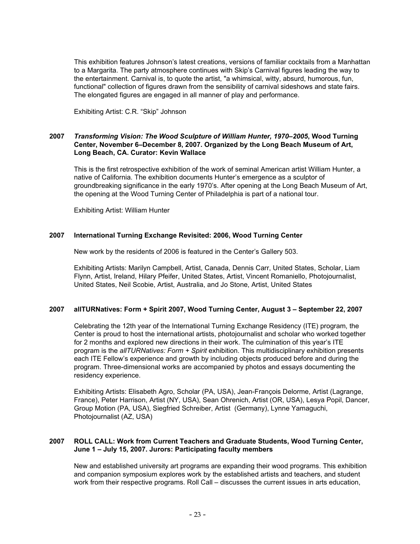This exhibition features Johnson's latest creations, versions of familiar cocktails from a Manhattan to a Margarita. The party atmosphere continues with Skip's Carnival figures leading the way to the entertainment. Carnival is, to quote the artist, "a whimsical, witty, absurd, humorous, fun, functional" collection of figures drawn from the sensibility of carnival sideshows and state fairs. The elongated figures are engaged in all manner of play and performance.

Exhibiting Artist: C.R. "Skip" Johnson

# **2007** *Transforming Vision: The Wood Sculpture of William Hunter, 1970–2005***, Wood Turning Center, November 6–December 8, 2007. Organized by the Long Beach Museum of Art, Long Beach, CA. Curator: Kevin Wallace**

This is the first retrospective exhibition of the work of seminal American artist William Hunter, a native of California. The exhibition documents Hunter's emergence as a sculptor of groundbreaking significance in the early 1970's. After opening at the Long Beach Museum of Art, the opening at the Wood Turning Center of Philadelphia is part of a national tour.

Exhibiting Artist: William Hunter

# **2007 International Turning Exchange Revisited: 2006, Wood Turning Center**

New work by the residents of 2006 is featured in the Center's Gallery 503.

Exhibiting Artists: Marilyn Campbell, Artist, Canada, Dennis Carr, United States, Scholar, Liam Flynn, Artist, Ireland, Hilary Pfeifer, United States, Artist, Vincent Romaniello, Photojournalist, United States, Neil Scobie, Artist, Australia, and Jo Stone, Artist, United States

# **2007 allTURNatives: Form + Spirit 2007, Wood Turning Center, August 3 – September 22, 2007**

Celebrating the 12th year of the International Turning Exchange Residency (ITE) program, the Center is proud to host the international artists, photojournalist and scholar who worked together for 2 months and explored new directions in their work. The culmination of this year's ITE program is the *allTURNatives: Form + Spirit* exhibition. This multidisciplinary exhibition presents each ITE Fellow's experience and growth by including objects produced before and during the program. Three-dimensional works are accompanied by photos and essays documenting the residency experience.

Exhibiting Artists: Elisabeth Agro, Scholar (PA, USA), Jean-François Delorme, Artist (Lagrange, France), Peter Harrison, Artist (NY, USA), Sean Ohrenich, Artist (OR, USA), Lesya Popil, Dancer, Group Motion (PA, USA), Siegfried Schreiber, Artist (Germany), Lynne Yamaguchi, Photojournalist (AZ, USA)

# **2007 ROLL CALL: Work from Current Teachers and Graduate Students, Wood Turning Center, June 1 – July 15, 2007. Jurors: Participating faculty members**

New and established university art programs are expanding their wood programs. This exhibition and companion symposium explores work by the established artists and teachers, and student work from their respective programs. Roll Call – discusses the current issues in arts education,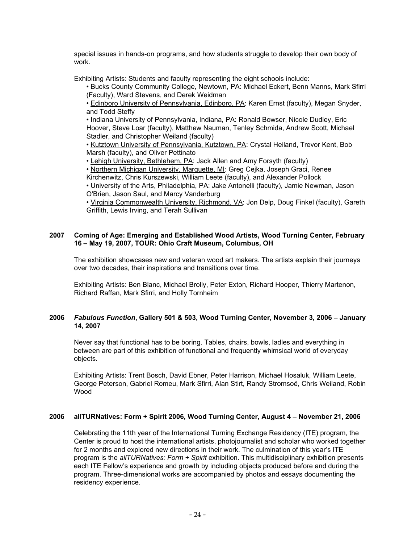special issues in hands-on programs, and how students struggle to develop their own body of work.

Exhibiting Artists: Students and faculty representing the eight schools include:

• Bucks County Community College, Newtown, PA: Michael Eckert, Benn Manns, Mark Sfirri (Faculty), Ward Stevens, and Derek Weidman

• Edinboro University of Pennsylvania, Edinboro, PA: Karen Ernst (faculty), Megan Snyder, and Todd Steffy

• Indiana University of Pennsylvania, Indiana, PA: Ronald Bowser, Nicole Dudley, Eric Hoover, Steve Loar (faculty), Matthew Nauman, Tenley Schmida, Andrew Scott, Michael Stadler, and Christopher Weiland (faculty)

• Kutztown University of Pennsylvania, Kutztown, PA: Crystal Heiland, Trevor Kent, Bob Marsh (faculty), and Oliver Pettinato

• Lehigh University, Bethlehem, PA: Jack Allen and Amy Forsyth (faculty)

• Northern Michigan University, Marquette, MI: Greg Cejka, Joseph Graci, Renee

Kirchenwitz, Chris Kurszewski, William Leete (faculty), and Alexander Pollock

• University of the Arts, Philadelphia, PA: Jake Antonelli (faculty), Jamie Newman, Jason O'Brien, Jason Saul, and Marcy Vanderburg

• Virginia Commonwealth University, Richmond, VA: Jon Delp, Doug Finkel (faculty), Gareth Griffith, Lewis Irving, and Terah Sullivan

# **2007 Coming of Age: Emerging and Established Wood Artists, Wood Turning Center, February 16 – May 19, 2007, TOUR: Ohio Craft Museum, Columbus, OH**

The exhibition showcases new and veteran wood art makers. The artists explain their journeys over two decades, their inspirations and transitions over time.

Exhibiting Artists: Ben Blanc, Michael Brolly, Peter Exton, Richard Hooper, Thierry Martenon, Richard Raffan, Mark Sfirri, and Holly Tornheim

# **2006** *Fabulous Function***, Gallery 501 & 503, Wood Turning Center, November 3, 2006 – January 14, 2007**

Never say that functional has to be boring. Tables, chairs, bowls, ladles and everything in between are part of this exhibition of functional and frequently whimsical world of everyday objects.

Exhibiting Artists: Trent Bosch, David Ebner, Peter Harrison, Michael Hosaluk, William Leete, George Peterson, Gabriel Romeu, Mark Sfirri, Alan Stirt, Randy Stromsoë, Chris Weiland, Robin Wood

# **2006 allTURNatives: Form + Spirit 2006, Wood Turning Center, August 4 – November 21, 2006**

Celebrating the 11th year of the International Turning Exchange Residency (ITE) program, the Center is proud to host the international artists, photojournalist and scholar who worked together for 2 months and explored new directions in their work. The culmination of this year's ITE program is the *allTURNatives: Form + Spirit* exhibition. This multidisciplinary exhibition presents each ITE Fellow's experience and growth by including objects produced before and during the program. Three-dimensional works are accompanied by photos and essays documenting the residency experience.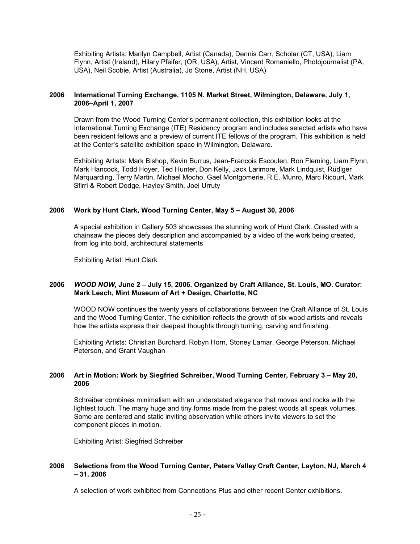Exhibiting Artists: Marilyn Campbell, Artist (Canada), Dennis Carr, Scholar (CT, USA), Liam Flynn, Artist (Ireland), Hilary Pfeifer, (OR, USA), Artist, Vincent Romaniello, Photojournalist (PA, USA), Neil Scobie, Artist (Australia), Jo Stone, Artist (NH, USA)

# **2006 International Turning Exchange, 1105 N. Market Street, Wilmington, Delaware, July 1, 2006–April 1, 2007**

Drawn from the Wood Turning Center's permanent collection, this exhibition looks at the International Turning Exchange (ITE) Residency program and includes selected artists who have been resident fellows and a preview of current ITE fellows of the program. This exhibition is held at the Center's satellite exhibition space in Wilmington, Delaware.

Exhibiting Artists: Mark Bishop, Kevin Burrus, Jean-Francois Escoulen, Ron Fleming, Liam Flynn, Mark Hancock, Todd Hoyer, Ted Hunter, Don Kelly, Jack Larimore, Mark Lindquist, Rüdiger Marquarding, Terry Martin, Michael Mocho, Gael Montgomerie, R.E. Munro, Marc Ricourt, Mark Sfirri & Robert Dodge, Hayley Smith, Joel Urruty

# **2006 Work by Hunt Clark, Wood Turning Center, May 5 – August 30, 2006**

A special exhibition in Gallery 503 showcases the stunning work of Hunt Clark. Created with a chainsaw the pieces defy description and accompanied by a video of the work being created, from log into bold, architectural statements

Exhibiting Artist: Hunt Clark

# **2006** *WOOD NOW***, June 2 – July 15, 2006. Organized by Craft Alliance, St. Louis, MO. Curator: Mark Leach, Mint Museum of Art + Design, Charlotte, NC**

WOOD NOW continues the twenty years of collaborations between the Craft Alliance of St. Louis and the Wood Turning Center. The exhibition reflects the growth of six wood artists and reveals how the artists express their deepest thoughts through turning, carving and finishing.

Exhibiting Artists: Christian Burchard, Robyn Horn, Stoney Lamar, George Peterson, Michael Peterson, and Grant Vaughan

# **2006 Art in Motion: Work by Siegfried Schreiber, Wood Turning Center, February 3 – May 20, 2006**

Schreiber combines minimalism with an understated elegance that moves and rocks with the lightest touch. The many huge and tiny forms made from the palest woods all speak volumes. Some are centered and static inviting observation while others invite viewers to set the component pieces in motion.

Exhibiting Artist: Siegfried Schreiber

# **2006 Selections from the Wood Turning Center, Peters Valley Craft Center, Layton, NJ, March 4 – 31, 2006**

A selection of work exhibited from Connections Plus and other recent Center exhibitions.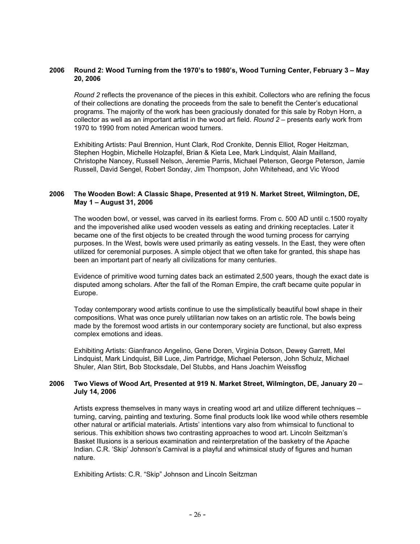# **2006 Round 2: Wood Turning from the 1970's to 1980's, Wood Turning Center, February 3 – May 20, 2006**

*Round 2* reflects the provenance of the pieces in this exhibit. Collectors who are refining the focus of their collections are donating the proceeds from the sale to benefit the Center's educational programs. The majority of the work has been graciously donated for this sale by Robyn Horn, a collector as well as an important artist in the wood art field. *Round 2* – presents early work from 1970 to 1990 from noted American wood turners.

Exhibiting Artists: Paul Brennion, Hunt Clark, Rod Cronkite, Dennis Elliot, Roger Heitzman, Stephen Hogbin, Michelle Holzapfel, Brian & Kieta Lee, Mark Lindquist, Alain Mailland, Christophe Nancey, Russell Nelson, Jeremie Parris, Michael Peterson, George Peterson, Jamie Russell, David Sengel, Robert Sonday, Jim Thompson, John Whitehead, and Vic Wood

### **2006 The Wooden Bowl: A Classic Shape, Presented at 919 N. Market Street, Wilmington, DE, May 1 – August 31, 2006**

The wooden bowl, or vessel, was carved in its earliest forms. From c. 500 AD until c.1500 royalty and the impoverished alike used wooden vessels as eating and drinking receptacles. Later it became one of the first objects to be created through the wood turning process for carrying purposes. In the West, bowls were used primarily as eating vessels. In the East, they were often utilized for ceremonial purposes. A simple object that we often take for granted, this shape has been an important part of nearly all civilizations for many centuries.

Evidence of primitive wood turning dates back an estimated 2,500 years, though the exact date is disputed among scholars. After the fall of the Roman Empire, the craft became quite popular in Europe.

Today contemporary wood artists continue to use the simplistically beautiful bowl shape in their compositions. What was once purely utilitarian now takes on an artistic role. The bowls being made by the foremost wood artists in our contemporary society are functional, but also express complex emotions and ideas.

Exhibiting Artists: Gianfranco Angelino, Gene Doren, Virginia Dotson, Dewey Garrett, Mel Lindquist, Mark Lindquist, Bill Luce, Jim Partridge, Michael Peterson, John Schulz, Michael Shuler, Alan Stirt, Bob Stocksdale, Del Stubbs, and Hans Joachim Weissflog

#### **2006 Two Views of Wood Art, Presented at 919 N. Market Street, Wilmington, DE, January 20 – July 14, 2006**

Artists express themselves in many ways in creating wood art and utilize different techniques – turning, carving, painting and texturing. Some final products look like wood while others resemble other natural or artificial materials. Artists' intentions vary also from whimsical to functional to serious. This exhibition shows two contrasting approaches to wood art. Lincoln Seitzman's Basket Illusions is a serious examination and reinterpretation of the basketry of the Apache Indian. C.R. 'Skip' Johnson's Carnival is a playful and whimsical study of figures and human nature.

Exhibiting Artists: C.R. "Skip" Johnson and Lincoln Seitzman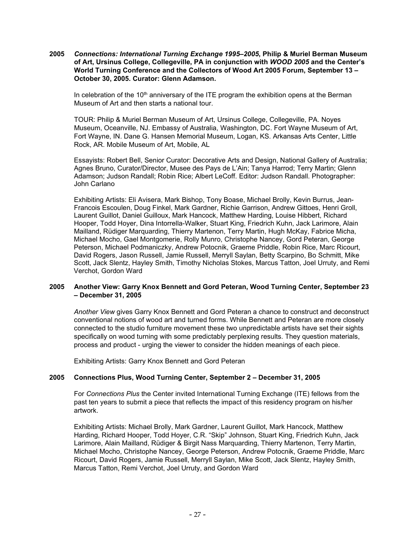**2005** *Connections: International Turning Exchange 1995–2005***, Philip & Muriel Berman Museum of Art, Ursinus College, Collegeville, PA in conjunction with** *WOOD 2005* **and the Center's World Turning Conference and the Collectors of Wood Art 2005 Forum, September 13 – October 30, 2005. Curator: Glenn Adamson.** 

In celebration of the  $10<sup>th</sup>$  anniversary of the ITE program the exhibition opens at the Berman Museum of Art and then starts a national tour.

TOUR: Philip & Muriel Berman Museum of Art, Ursinus College, Collegeville, PA. Noyes Museum, Oceanville, NJ. Embassy of Australia, Washington, DC. Fort Wayne Museum of Art, Fort Wayne, IN. Dane G. Hansen Memorial Museum, Logan, KS. Arkansas Arts Center, Little Rock, AR. Mobile Museum of Art, Mobile, AL

Essayists: Robert Bell, Senior Curator: Decorative Arts and Design, National Gallery of Australia; Agnes Bruno, Curator/Director, Musee des Pays de L'Ain; Tanya Harrod; Terry Martin; Glenn Adamson; Judson Randall; Robin Rice; Albert LeCoff. Editor: Judson Randall. Photographer: John Carlano

Exhibiting Artists: Eli Avisera, Mark Bishop, Tony Boase, Michael Brolly, Kevin Burrus, Jean-Francois Escoulen, Doug Finkel, Mark Gardner, Richie Garrison, Andrew Gittoes, Henri Groll, Laurent Guillot, Daniel Guilloux, Mark Hancock, Matthew Harding, Louise Hibbert, Richard Hooper, Todd Hoyer, Dina Intorrella-Walker, Stuart King, Friedrich Kuhn, Jack Larimore, Alain Mailland, Rüdiger Marquarding, Thierry Martenon, Terry Martin, Hugh McKay, Fabrice Micha, Michael Mocho, Gael Montgomerie, Rolly Munro, Christophe Nancey, Gord Peteran, George Peterson, Michael Podmaniczky, Andrew Potocnik, Graeme Priddle, Robin Rice, Marc Ricourt, David Rogers, Jason Russell, Jamie Russell, Merryll Saylan, Betty Scarpino, Bo Schmitt, Mike Scott, Jack Slentz, Hayley Smith, Timothy Nicholas Stokes, Marcus Tatton, Joel Urruty, and Remi Verchot, Gordon Ward

# **2005 Another View: Garry Knox Bennett and Gord Peteran, Wood Turning Center, September 23 – December 31, 2005**

*Another View* gives Garry Knox Bennett and Gord Peteran a chance to construct and deconstruct conventional notions of wood art and turned forms. While Bennett and Peteran are more closely connected to the studio furniture movement these two unpredictable artists have set their sights specifically on wood turning with some predictably perplexing results. They question materials, process and product - urging the viewer to consider the hidden meanings of each piece.

Exhibiting Artists: Garry Knox Bennett and Gord Peteran

#### **2005 Connections Plus, Wood Turning Center, September 2 – December 31, 2005**

For *Connections Plus* the Center invited International Turning Exchange (ITE) fellows from the past ten years to submit a piece that reflects the impact of this residency program on his/her artwork.

Exhibiting Artists: Michael Brolly, Mark Gardner, Laurent Guillot, Mark Hancock, Matthew Harding, Richard Hooper, Todd Hoyer, C.R. "Skip" Johnson, Stuart King, Friedrich Kuhn, Jack Larimore, Alain Mailland, Rüdiger & Birgit Nass Marquarding, Thierry Martenon, Terry Martin, Michael Mocho, Christophe Nancey, George Peterson, Andrew Potocnik, Graeme Priddle, Marc Ricourt, David Rogers, Jamie Russell, Merryll Saylan, Mike Scott, Jack Slentz, Hayley Smith, Marcus Tatton, Remi Verchot, Joel Urruty, and Gordon Ward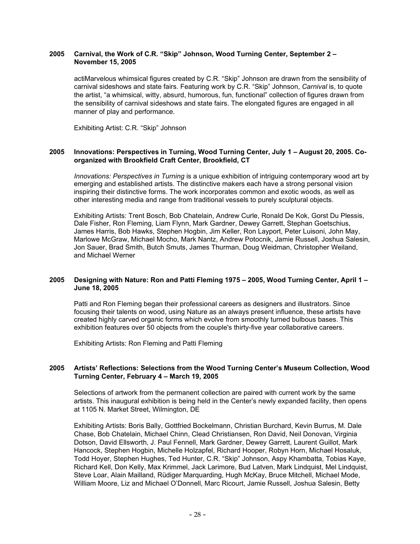### **2005 Carnival, the Work of C.R. "Skip" Johnson, Wood Turning Center, September 2 – November 15, 2005**

actiMarvelous whimsical figures created by C.R. "Skip" Johnson are drawn from the sensibility of carnival sideshows and state fairs. Featuring work by C.R. "Skip" Johnson, *Carnival* is, to quote the artist, "a whimsical, witty, absurd, humorous, fun, functional" collection of figures drawn from the sensibility of carnival sideshows and state fairs. The elongated figures are engaged in all manner of play and performance.

Exhibiting Artist: C.R. "Skip" Johnson

### **2005 Innovations: Perspectives in Turning, Wood Turning Center, July 1 – August 20, 2005. Coorganized with Brookfield Craft Center, Brookfield, CT**

*Innovations: Perspectives in Turning* is a unique exhibition of intriguing contemporary wood art by emerging and established artists. The distinctive makers each have a strong personal vision inspiring their distinctive forms. The work incorporates common and exotic woods, as well as other interesting media and range from traditional vessels to purely sculptural objects.

Exhibiting Artists: Trent Bosch, Bob Chatelain, Andrew Curle, Ronald De Kok, Gorst Du Plessis, Dale Fisher, Ron Fleming, Liam Flynn, Mark Gardner, Dewey Garrett, Stephan Goetschius, James Harris, Bob Hawks, Stephen Hogbin, Jim Keller, Ron Layport, Peter Luisoni, John May, Marlowe McGraw, Michael Mocho, Mark Nantz, Andrew Potocnik, Jamie Russell, Joshua Salesin, Jon Sauer, Brad Smith, Butch Smuts, James Thurman, Doug Weidman, Christopher Weiland, and Michael Werner

# **2005 Designing with Nature: Ron and Patti Fleming 1975 – 2005, Wood Turning Center, April 1 – June 18, 2005**

Patti and Ron Fleming began their professional careers as designers and illustrators. Since focusing their talents on wood, using Nature as an always present influence, these artists have created highly carved organic forms which evolve from smoothly turned bulbous bases. This exhibition features over 50 objects from the couple's thirty-five year collaborative careers.

Exhibiting Artists: Ron Fleming and Patti Fleming

# **2005 Artists' Reflections: Selections from the Wood Turning Center's Museum Collection, Wood Turning Center, February 4 – March 19, 2005**

Selections of artwork from the permanent collection are paired with current work by the same artists. This inaugural exhibition is being held in the Center's newly expanded facility, then opens at 1105 N. Market Street, Wilmington, DE

Exhibiting Artists: Boris Bally, Gottfried Bockelmann, Christian Burchard, Kevin Burrus, M. Dale Chase, Bob Chatelain, Michael Chinn, Clead Christiansen, Ron David, Neil Donovan, Virginia Dotson, David Ellsworth, J. Paul Fennell, Mark Gardner, Dewey Garrett, Laurent Guillot, Mark Hancock, Stephen Hogbin, Michelle Holzapfel, Richard Hooper, Robyn Horn, Michael Hosaluk, Todd Hoyer, Stephen Hughes, Ted Hunter, C.R. "Skip" Johnson, Aspy Khambatta, Tobias Kaye, Richard Kell, Don Kelly, Max Krimmel, Jack Larimore, Bud Latven, Mark Lindquist, Mel Lindquist, Steve Loar, Alain Mailland, Rüdiger Marquarding, Hugh McKay, Bruce Mitchell, Michael Mode, William Moore, Liz and Michael O'Donnell, Marc Ricourt, Jamie Russell, Joshua Salesin, Betty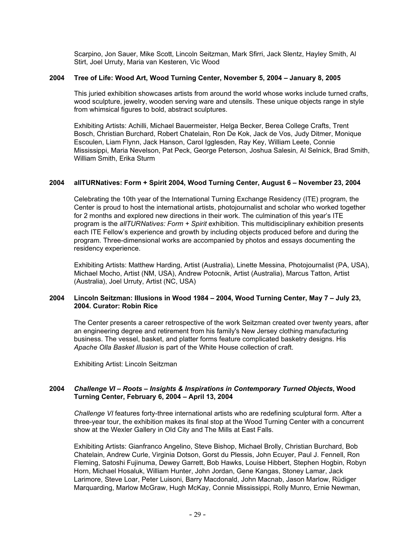Scarpino, Jon Sauer, Mike Scott, Lincoln Seitzman, Mark Sfirri, Jack Slentz, Hayley Smith, Al Stirt, Joel Urruty, Maria van Kesteren, Vic Wood

# **2004 Tree of Life: Wood Art, Wood Turning Center, November 5, 2004 – January 8, 2005**

This juried exhibition showcases artists from around the world whose works include turned crafts, wood sculpture, jewelry, wooden serving ware and utensils. These unique objects range in style from whimsical figures to bold, abstract sculptures.

Exhibiting Artists: Achilli, Michael Bauermeister, Helga Becker, Berea College Crafts, Trent Bosch, Christian Burchard, Robert Chatelain, Ron De Kok, Jack de Vos, Judy Ditmer, Monique Escoulen, Liam Flynn, Jack Hanson, Carol Igglesden, Ray Key, William Leete, Connie Mississippi, Maria Nevelson, Pat Peck, George Peterson, Joshua Salesin, Al Selnick, Brad Smith, William Smith, Erika Sturm

#### **2004 allTURNatives: Form + Spirit 2004, Wood Turning Center, August 6 – November 23, 2004**

Celebrating the 10th year of the International Turning Exchange Residency (ITE) program, the Center is proud to host the international artists, photojournalist and scholar who worked together for 2 months and explored new directions in their work. The culmination of this year's ITE program is the *allTURNatives: Form + Spirit* exhibition. This multidisciplinary exhibition presents each ITE Fellow's experience and growth by including objects produced before and during the program. Three-dimensional works are accompanied by photos and essays documenting the residency experience.

Exhibiting Artists: Matthew Harding, Artist (Australia), Linette Messina, Photojournalist (PA, USA), Michael Mocho, Artist (NM, USA), Andrew Potocnik, Artist (Australia), Marcus Tatton, Artist (Australia), Joel Urruty, Artist (NC, USA)

# **2004 Lincoln Seitzman: Illusions in Wood 1984 – 2004, Wood Turning Center, May 7 – July 23, 2004. Curator: Robin Rice**

The Center presents a career retrospective of the work Seitzman created over twenty years, after an engineering degree and retirement from his family's New Jersey clothing manufacturing business. The vessel, basket, and platter forms feature complicated basketry designs. His *Apache Olla Basket Illusion* is part of the White House collection of craft.

Exhibiting Artist: Lincoln Seitzman

# **2004** *Challenge VI – Roots – Insights & Inspirations in Contemporary Turned Objects***, Wood Turning Center, February 6, 2004 – April 13, 2004**

*Challenge VI* features forty-three international artists who are redefining sculptural form. After a three-year tour, the exhibition makes its final stop at the Wood Turning Center with a concurrent show at the Wexler Gallery in Old City and The Mills at East Falls.

Exhibiting Artists: Gianfranco Angelino, Steve Bishop, Michael Brolly, Christian Burchard, Bob Chatelain, Andrew Curle, Virginia Dotson, Gorst du Plessis, John Ecuyer, Paul J. Fennell, Ron Fleming, Satoshi Fujinuma, Dewey Garrett, Bob Hawks, Louise Hibbert, Stephen Hogbin, Robyn Horn, Michael Hosaluk, William Hunter, John Jordan, Gene Kangas, Stoney Lamar, Jack Larimore, Steve Loar, Peter Luisoni, Barry Macdonald, John Macnab, Jason Marlow, Rüdiger Marquarding, Marlow McGraw, Hugh McKay, Connie Mississippi, Rolly Munro, Ernie Newman,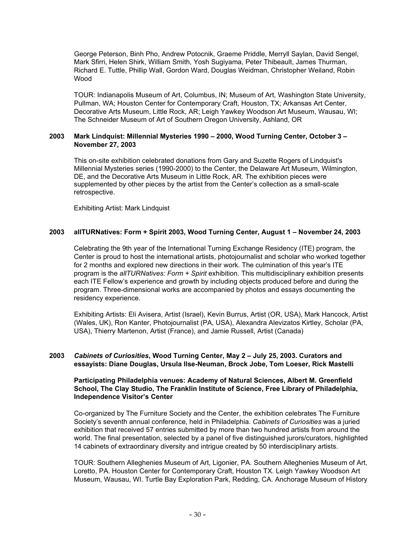George Peterson, Binh Pho, Andrew Potocnik, Graeme Priddle, Merryll Saylan, David Sengel, Mark Sfirri, Helen Shirk, William Smith, Yosh Sugiyama, Peter Thibeault, James Thurman, Richard E. Tuttle, Phillip Wall, Gordon Ward, Douglas Weidman, Christopher Weiland, Robin Wood

TOUR: Indianapolis Museum of Art, Columbus, IN; Museum of Art, Washington State University, Pullman, WA; Houston Center for Contemporary Craft, Houston, TX; Arkansas Art Center, Decorative Arts Museum, Little Rock, AR; Leigh Yawkey Woodson Art Museum, Wausau, WI; The Schneider Museum of Art of Southern Oregon University, Ashland, OR

### **2003 Mark Lindquist: Millennial Mysteries 1990 – 2000, Wood Turning Center, October 3 – November 27, 2003**

This on-site exhibition celebrated donations from Gary and Suzette Rogers of Lindquist's Millennial Mysteries series (1990-2000) to the Center, the Delaware Art Museum, Wilmington, DE, and the Decorative Arts Museum in Little Rock, AR. The exhibition pieces were supplemented by other pieces by the artist from the Center's collection as a small-scale retrospective.

Exhibiting Artist: Mark Lindquist

# **2003 allTURNatives: Form + Spirit 2003, Wood Turning Center, August 1 – November 24, 2003**

Celebrating the 9th year of the International Turning Exchange Residency (ITE) program, the Center is proud to host the international artists, photojournalist and scholar who worked together for 2 months and explored new directions in their work. The culmination of this year's ITE program is the *allTURNatives: Form + Spirit* exhibition. This multidisciplinary exhibition presents each ITE Fellow's experience and growth by including objects produced before and during the program. Three-dimensional works are accompanied by photos and essays documenting the residency experience.

Exhibiting Artists: Eli Avisera, Artist (Israel), Kevin Burrus, Artist (OR, USA), Mark Hancock, Artist (Wales, UK), Ron Kanter, Photojournalist (PA, USA), Alexandra Alevizatos Kirtley, Scholar (PA, USA), Thierry Martenon, Artist (France), and Jamie Russell, Artist (Canada)

# **2003** *Cabinets of Curiosities***, Wood Turning Center, May 2 – July 25, 2003. Curators and essayists: Diane Douglas, Ursula Ilse-Neuman, Brock Jobe, Tom Loeser, Rick Mastelli**

# **Participating Philadelphia venues: Academy of Natural Sciences, Albert M. Greenfield School, The Clay Studio, The Franklin Institute of Science, Free Library of Philadelphia, Independence Visitor's Center**

Co-organized by The Furniture Society and the Center, the exhibition celebrates The Furniture Society's seventh annual conference, held in Philadelphia. *Cabinets of Curiosities* was a juried exhibition that received 57 entries submitted by more than two hundred artists from around the world. The final presentation, selected by a panel of five distinguished jurors/curators, highlighted 14 cabinets of extraordinary diversity and intrigue created by 50 interdisciplinary artists.

TOUR: Southern Alleghenies Museum of Art, Ligonier, PA. Southern Alleghenies Museum of Art, Loretto, PA. Houston Center for Contemporary Craft, Houston TX. Leigh Yawkey Woodson Art Museum, Wausau, WI. Turtle Bay Exploration Park, Redding, CA. Anchorage Museum of History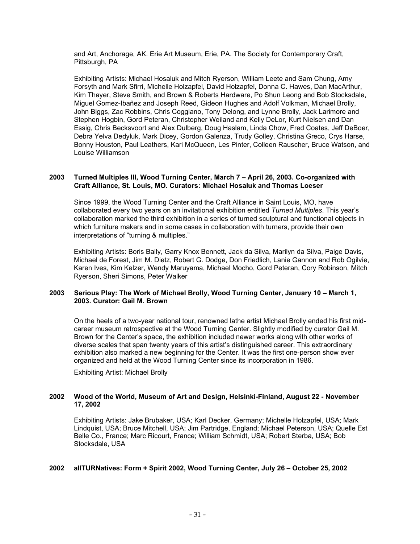and Art, Anchorage, AK. Erie Art Museum, Erie, PA. The Society for Contemporary Craft, Pittsburgh, PA

Exhibiting Artists: Michael Hosaluk and Mitch Ryerson, William Leete and Sam Chung, Amy Forsyth and Mark Sfirri, Michelle Holzapfel, David Holzapfel, Donna C. Hawes, Dan MacArthur, Kim Thayer, Steve Smith, and Brown & Roberts Hardware, Po Shun Leong and Bob Stocksdale, Miguel Gomez-Ibañez and Joseph Reed, Gideon Hughes and Adolf Volkman, Michael Brolly, John Biggs, Zac Robbins, Chris Coggiano, Tony Delong, and Lynne Brolly, Jack Larimore and Stephen Hogbin, Gord Peteran, Christopher Weiland and Kelly DeLor, Kurt Nielsen and Dan Essig, Chris Becksvoort and Alex Dulberg, Doug Haslam, Linda Chow, Fred Coates, Jeff DeBoer, Debra Yelva Dedyluk, Mark Dicey, Gordon Galenza, Trudy Golley, Christina Greco, Crys Harse, Bonny Houston, Paul Leathers, Kari McQueen, Les Pinter, Colleen Rauscher, Bruce Watson, and Louise Williamson

# **2003 Turned Multiples III, Wood Turning Center, March 7 – April 26, 2003. Co-organized with Craft Alliance, St. Louis, MO. Curators: Michael Hosaluk and Thomas Loeser**

Since 1999, the Wood Turning Center and the Craft Alliance in Saint Louis, MO, have collaborated every two years on an invitational exhibition entitled *Turned Multiples*. This year's collaboration marked the third exhibition in a series of turned sculptural and functional objects in which furniture makers and in some cases in collaboration with turners, provide their own interpretations of "turning & multiples."

Exhibiting Artists: Boris Bally, Garry Knox Bennett, Jack da Silva, Marilyn da Silva, Paige Davis, Michael de Forest, Jim M. Dietz, Robert G. Dodge, Don Friedlich, Lanie Gannon and Rob Ogilvie, Karen Ives, Kim Kelzer, Wendy Maruyama, Michael Mocho, Gord Peteran, Cory Robinson, Mitch Ryerson, Sheri Simons, Peter Walker

# **2003 Serious Play: The Work of Michael Brolly, Wood Turning Center, January 10 – March 1, 2003. Curator: Gail M. Brown**

On the heels of a two-year national tour, renowned lathe artist Michael Brolly ended his first midcareer museum retrospective at the Wood Turning Center. Slightly modified by curator Gail M. Brown for the Center's space, the exhibition included newer works along with other works of diverse scales that span twenty years of this artist's distinguished career. This extraordinary exhibition also marked a new beginning for the Center. It was the first one-person show ever organized and held at the Wood Turning Center since its incorporation in 1986.

Exhibiting Artist: Michael Brolly

# **2002 Wood of the World, Museum of Art and Design, Helsinki-Finland, August 22 - November 17, 2002**

Exhibiting Artists: Jake Brubaker, USA; Karl Decker, Germany; Michelle Holzapfel, USA; Mark Lindquist, USA; Bruce Mitchell, USA; Jim Partridge, England; Michael Peterson, USA; Quelle Est Belle Co., France; Marc Ricourt, France; William Schmidt, USA; Robert Sterba, USA; Bob Stocksdale, USA

#### **2002 allTURNatives: Form + Spirit 2002, Wood Turning Center, July 26 – October 25, 2002**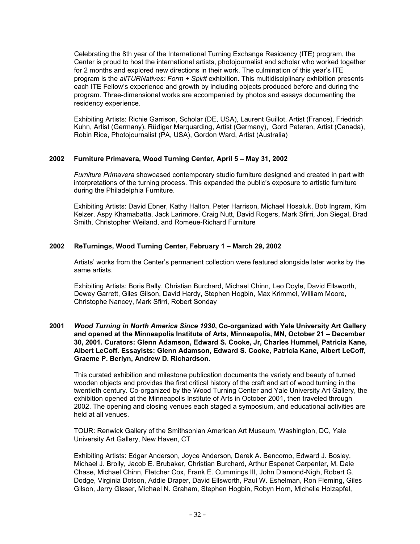Celebrating the 8th year of the International Turning Exchange Residency (ITE) program, the Center is proud to host the international artists, photojournalist and scholar who worked together for 2 months and explored new directions in their work. The culmination of this year's ITE program is the *allTURNatives: Form + Spirit* exhibition. This multidisciplinary exhibition presents each ITE Fellow's experience and growth by including objects produced before and during the program. Three-dimensional works are accompanied by photos and essays documenting the residency experience.

Exhibiting Artists: Richie Garrison, Scholar (DE, USA), Laurent Guillot, Artist (France), Friedrich Kuhn, Artist (Germany), Rüdiger Marquarding, Artist (Germany), Gord Peteran, Artist (Canada), Robin Rice, Photojournalist (PA, USA), Gordon Ward, Artist (Australia)

# **2002 Furniture Primavera, Wood Turning Center, April 5 – May 31, 2002**

*Furniture Primavera* showcased contemporary studio furniture designed and created in part with interpretations of the turning process. This expanded the public's exposure to artistic furniture during the Philadelphia Furniture.

Exhibiting Artists: David Ebner, Kathy Halton, Peter Harrison, Michael Hosaluk, Bob Ingram, Kim Kelzer, Aspy Khamabatta, Jack Larimore, Craig Nutt, David Rogers, Mark Sfirri, Jon Siegal, Brad Smith, Christopher Weiland, and Romeue-Richard Furniture

# **2002 ReTurnings, Wood Turning Center, February 1 – March 29, 2002**

Artists' works from the Center's permanent collection were featured alongside later works by the same artists.

Exhibiting Artists: Boris Bally, Christian Burchard, Michael Chinn, Leo Doyle, David Ellsworth, Dewey Garrett, Giles Gilson, David Hardy, Stephen Hogbin, Max Krimmel, William Moore, Christophe Nancey, Mark Sfirri, Robert Sonday

### **2001** *Wood Turning in North America Since 1930***, Co-organized with Yale University Art Gallery and opened at the Minneapolis Institute of Arts, Minneapolis, MN, October 21 – December 30, 2001. Curators: Glenn Adamson, Edward S. Cooke, Jr, Charles Hummel, Patricia Kane, Albert LeCoff. Essayists: Glenn Adamson, Edward S. Cooke, Patricia Kane, Albert LeCoff, Graeme P. Berlyn, Andrew D. Richardson.**

This curated exhibition and milestone publication documents the variety and beauty of turned wooden objects and provides the first critical history of the craft and art of wood turning in the twentieth century. Co-organized by the Wood Turning Center and Yale University Art Gallery, the exhibition opened at the Minneapolis Institute of Arts in October 2001, then traveled through 2002. The opening and closing venues each staged a symposium, and educational activities are held at all venues.

TOUR: Renwick Gallery of the Smithsonian American Art Museum, Washington, DC, Yale University Art Gallery, New Haven, CT

Exhibiting Artists: Edgar Anderson, Joyce Anderson, Derek A. Bencomo, Edward J. Bosley, Michael J. Brolly, Jacob E. Brubaker, Christian Burchard, Arthur Espenet Carpenter, M. Dale Chase, Michael Chinn, Fletcher Cox, Frank E. Cummings III, John Diamond-Nigh, Robert G. Dodge, Virginia Dotson, Addie Draper, David Ellsworth, Paul W. Eshelman, Ron Fleming, Giles Gilson, Jerry Glaser, Michael N. Graham, Stephen Hogbin, Robyn Horn, Michelle Holzapfel,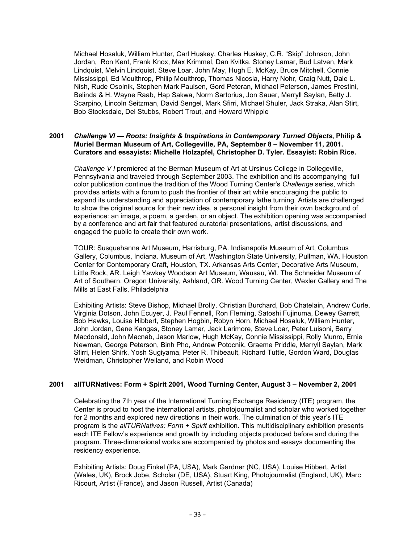Michael Hosaluk, William Hunter, Carl Huskey, Charles Huskey, C.R. "Skip" Johnson, John Jordan, Ron Kent, Frank Knox, Max Krimmel, Dan Kvitka, Stoney Lamar, Bud Latven, Mark Lindquist, Melvin Lindquist, Steve Loar, John May, Hugh E. McKay, Bruce Mitchell, Connie Mississippi, Ed Moulthrop, Philip Moulthrop, Thomas Nicosia, Harry Nohr, Craig Nutt, Dale L. Nish, Rude Osolnik, Stephen Mark Paulsen, Gord Peteran, Michael Peterson, James Prestini, Belinda & H. Wayne Raab, Hap Sakwa, Norm Sartorius, Jon Sauer, Merryll Saylan, Betty J. Scarpino, Lincoln Seitzman, David Sengel, Mark Sfirri, Michael Shuler, Jack Straka, Alan Stirt, Bob Stocksdale, Del Stubbs, Robert Trout, and Howard Whipple

### **2001** *Challenge VI — Roots: Insights & Inspirations in Contemporary Turned Objects***, Philip & Muriel Berman Museum of Art, Collegeville, PA, September 8 – November 11, 2001. Curators and essayists: Michelle Holzapfel, Christopher D. Tyler. Essayist: Robin Rice.**

*Challenge V I* premiered at the Berman Museum of Art at Ursinus College in Collegeville, Pennsylvania and traveled through September 2003. The exhibition and its accompanying full color publication continue the tradition of the Wood Turning Center's *Challenge* series, which provides artists with a forum to push the frontier of their art while encouraging the public to expand its understanding and appreciation of contemporary lathe turning. Artists are challenged to show the original source for their new idea, a personal insight from their own background of experience: an image, a poem, a garden, or an object. The exhibition opening was accompanied by a conference and art fair that featured curatorial presentations, artist discussions, and engaged the public to create their own work.

TOUR: Susquehanna Art Museum, Harrisburg, PA. Indianapolis Museum of Art, Columbus Gallery, Columbus, Indiana. Museum of Art, Washington State University, Pullman, WA. Houston Center for Contemporary Craft, Houston, TX. Arkansas Arts Center, Decorative Arts Museum, Little Rock, AR. Leigh Yawkey Woodson Art Museum, Wausau, WI. The Schneider Museum of Art of Southern, Oregon University, Ashland, OR. Wood Turning Center, Wexler Gallery and The Mills at East Falls, Philadelphia

Exhibiting Artists: Steve Bishop, Michael Brolly, Christian Burchard, Bob Chatelain, Andrew Curle, Virginia Dotson, John Ecuyer, J. Paul Fennell, Ron Fleming, Satoshi Fujinuma, Dewey Garrett, Bob Hawks, Louise Hibbert, Stephen Hogbin, Robyn Horn, Michael Hosaluk, William Hunter, John Jordan, Gene Kangas, Stoney Lamar, Jack Larimore, Steve Loar, Peter Luisoni, Barry Macdonald, John Macnab, Jason Marlow, Hugh McKay, Connie Mississippi, Rolly Munro, Ernie Newman, George Peterson, Binh Pho, Andrew Potocnik, Graeme Priddle, Merryll Saylan, Mark Sfirri, Helen Shirk, Yosh Sugiyama, Peter R. Thibeault, Richard Tuttle, Gordon Ward, Douglas Weidman, Christopher Weiland, and Robin Wood

# **2001 allTURNatives: Form + Spirit 2001, Wood Turning Center, August 3 – November 2, 2001**

Celebrating the 7th year of the International Turning Exchange Residency (ITE) program, the Center is proud to host the international artists, photojournalist and scholar who worked together for 2 months and explored new directions in their work. The culmination of this year's ITE program is the *allTURNatives: Form + Spirit* exhibition. This multidisciplinary exhibition presents each ITE Fellow's experience and growth by including objects produced before and during the program. Three-dimensional works are accompanied by photos and essays documenting the residency experience.

Exhibiting Artists: Doug Finkel (PA, USA), Mark Gardner (NC, USA), Louise Hibbert, Artist (Wales, UK), Brock Jobe, Scholar (DE, USA), Stuart King, Photojournalist (England, UK), Marc Ricourt, Artist (France), and Jason Russell, Artist (Canada)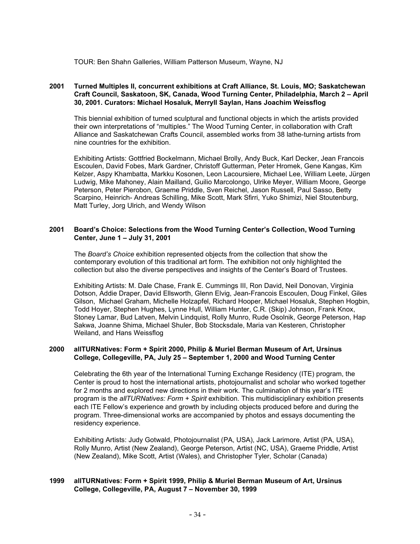TOUR: Ben Shahn Galleries, William Patterson Museum, Wayne, NJ

# **2001 Turned Multiples II, concurrent exhibitions at Craft Alliance, St. Louis, MO; Saskatchewan Craft Council, Saskatoon, SK, Canada, Wood Turning Center, Philadelphia, March 2 – April 30, 2001. Curators: Michael Hosaluk, Merryll Saylan, Hans Joachim Weissflog**

This biennial exhibition of turned sculptural and functional objects in which the artists provided their own interpretations of "multiples." The Wood Turning Center, in collaboration with Craft Alliance and Saskatchewan Crafts Council, assembled works from 38 lathe-turning artists from nine countries for the exhibition.

Exhibiting Artists: Gottfried Bockelmann, Michael Brolly, Andy Buck, Karl Decker, Jean Francois Escoulen, David Fobes, Mark Gardner, Christoff Gutterman, Peter Hromek, Gene Kangas, Kim Kelzer, Aspy Khambatta, Markku Kosonen, Leon Lacoursiere, Michael Lee, William Leete, Jürgen Ludwig, Mike Mahoney, Alain Mailland, Guilio Marcolongo, Ulrike Meyer, William Moore, George Peterson, Peter Pierobon, Graeme Priddle, Sven Reichel, Jason Russell, Paul Sasso, Betty Scarpino, Heinrich- Andreas Schilling, Mike Scott, Mark Sfirri, Yuko Shimizi, Niel Stoutenburg, Matt Turley, Jorg Ulrich, and Wendy Wilson

### **2001 Board's Choice: Selections from the Wood Turning Center's Collection, Wood Turning Center, June 1 – July 31, 2001**

The *Board's Choice* exhibition represented objects from the collection that show the contemporary evolution of this traditional art form. The exhibition not only highlighted the collection but also the diverse perspectives and insights of the Center's Board of Trustees.

Exhibiting Artists: M. Dale Chase, Frank E. Cummings III, Ron David, Neil Donovan, Virginia Dotson, Addie Draper, David Ellsworth, Glenn Elvig, Jean-Francois Escoulen, Doug Finkel, Giles Gilson, Michael Graham, Michelle Holzapfel, Richard Hooper, Michael Hosaluk, Stephen Hogbin, Todd Hoyer, Stephen Hughes, Lynne Hull, William Hunter, C.R. (Skip) Johnson, Frank Knox, Stoney Lamar, Bud Latven, Melvin Lindquist, Rolly Munro, Rude Osolnik, George Peterson, Hap Sakwa, Joanne Shima, Michael Shuler, Bob Stocksdale, Maria van Kesteren, Christopher Weiland, and Hans Weissflog

#### **2000 allTURNatives: Form + Spirit 2000, Philip & Muriel Berman Museum of Art, Ursinus College, Collegeville, PA, July 25 – September 1, 2000 and Wood Turning Center**

Celebrating the 6th year of the International Turning Exchange Residency (ITE) program, the Center is proud to host the international artists, photojournalist and scholar who worked together for 2 months and explored new directions in their work. The culmination of this year's ITE program is the *allTURNatives: Form + Spirit* exhibition. This multidisciplinary exhibition presents each ITE Fellow's experience and growth by including objects produced before and during the program. Three-dimensional works are accompanied by photos and essays documenting the residency experience.

Exhibiting Artists: Judy Gotwald, Photojournalist (PA, USA), Jack Larimore, Artist (PA, USA), Rolly Munro, Artist (New Zealand), George Peterson, Artist (NC, USA), Graeme Priddle, Artist (New Zealand), Mike Scott, Artist (Wales), and Christopher Tyler, Scholar (Canada)

# **1999 allTURNatives: Form + Spirit 1999, Philip & Muriel Berman Museum of Art, Ursinus College, Collegeville, PA, August 7 – November 30, 1999**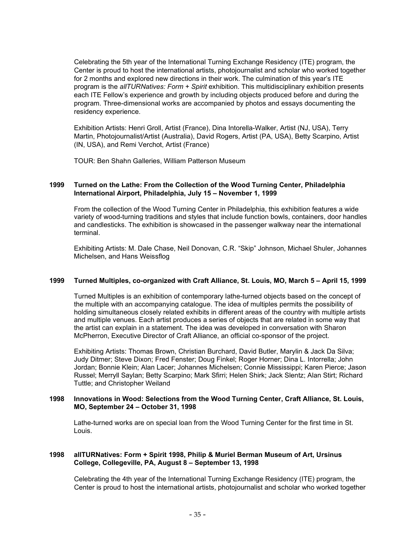Celebrating the 5th year of the International Turning Exchange Residency (ITE) program, the Center is proud to host the international artists, photojournalist and scholar who worked together for 2 months and explored new directions in their work. The culmination of this year's ITE program is the *allTURNatives: Form + Spirit* exhibition. This multidisciplinary exhibition presents each ITE Fellow's experience and growth by including objects produced before and during the program. Three-dimensional works are accompanied by photos and essays documenting the residency experience.

Exhibition Artists: Henri Groll, Artist (France), Dina Intorella-Walker, Artist (NJ, USA), Terry Martin, Photojournalist/Artist (Australia), David Rogers, Artist (PA, USA), Betty Scarpino, Artist (IN, USA), and Remi Verchot, Artist (France)

TOUR: Ben Shahn Galleries, William Patterson Museum

# **1999 Turned on the Lathe: From the Collection of the Wood Turning Center, Philadelphia International Airport, Philadelphia, July 15 – November 1, 1999**

From the collection of the Wood Turning Center in Philadelphia, this exhibition features a wide variety of wood-turning traditions and styles that include function bowls, containers, door handles and candlesticks. The exhibition is showcased in the passenger walkway near the international terminal.

Exhibiting Artists: M. Dale Chase, Neil Donovan, C.R. "Skip" Johnson, Michael Shuler, Johannes Michelsen, and Hans Weissflog

### **1999 Turned Multiples, co-organized with Craft Alliance, St. Louis, MO, March 5 – April 15, 1999**

Turned Multiples is an exhibition of contemporary lathe-turned objects based on the concept of the multiple with an accompanying catalogue. The idea of multiples permits the possibility of holding simultaneous closely related exhibits in different areas of the country with multiple artists and multiple venues. Each artist produces a series of objects that are related in some way that the artist can explain in a statement. The idea was developed in conversation with Sharon McPherron, Executive Director of Craft Alliance, an official co-sponsor of the project.

Exhibiting Artists: Thomas Brown, Christian Burchard, David Butler, Marylin & Jack Da Silva; Judy Ditmer; Steve Dixon; Fred Fenster; Doug Finkel; Roger Horner; Dina L. Intorrella; John Jordan; Bonnie Klein; Alan Lacer; Johannes Michelsen; Connie Mississippi; Karen Pierce; Jason Russel; Merryll Saylan; Betty Scarpino; Mark Sfirri; Helen Shirk; Jack Slentz; Alan Stirt; Richard Tuttle; and Christopher Weiland

#### **1998 Innovations in Wood: Selections from the Wood Turning Center, Craft Alliance, St. Louis, MO, September 24 – October 31, 1998**

Lathe-turned works are on special loan from the Wood Turning Center for the first time in St. Louis.

# **1998 allTURNatives: Form + Spirit 1998, Philip & Muriel Berman Museum of Art, Ursinus College, Collegeville, PA, August 8 – September 13, 1998**

Celebrating the 4th year of the International Turning Exchange Residency (ITE) program, the Center is proud to host the international artists, photojournalist and scholar who worked together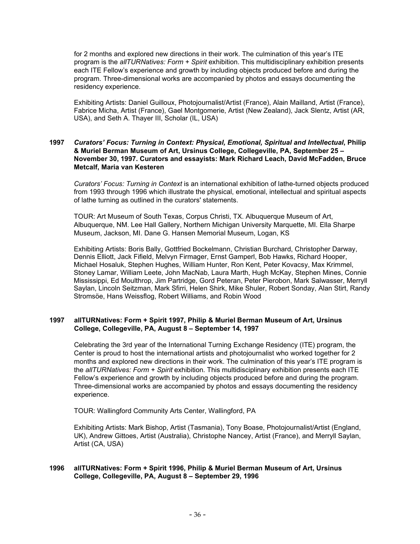for 2 months and explored new directions in their work. The culmination of this year's ITE program is the *allTURNatives: Form + Spirit* exhibition. This multidisciplinary exhibition presents each ITE Fellow's experience and growth by including objects produced before and during the program. Three-dimensional works are accompanied by photos and essays documenting the residency experience.

Exhibiting Artists: Daniel Guilloux, Photojournalist/Artist (France), Alain Mailland, Artist (France), Fabrice Micha, Artist (France), Gael Montgomerie, Artist (New Zealand), Jack Slentz, Artist (AR, USA), and Seth A. Thayer III, Scholar (IL, USA)

# **1997** *Curators' Focus: Turning in Context: Physical, Emotional, Spiritual and Intellectual***, Philip & Muriel Berman Museum of Art, Ursinus College, Collegeville, PA, September 25 – November 30, 1997. Curators and essayists: Mark Richard Leach, David McFadden, Bruce Metcalf, Maria van Kesteren**

*Curators' Focus: Turning in Context* is an international exhibition of lathe-turned objects produced from 1993 through 1996 which illustrate the physical, emotional, intellectual and spiritual aspects of lathe turning as outlined in the curators' statements.

TOUR: Art Museum of South Texas, Corpus Christi, TX. Albuquerque Museum of Art, Albuquerque, NM. Lee Hall Gallery, Northern Michigan University Marquette, MI. Ella Sharpe Museum, Jackson, MI. Dane G. Hansen Memorial Museum, Logan, KS

Exhibiting Artists: Boris Bally, Gottfried Bockelmann, Christian Burchard, Christopher Darway, Dennis Elliott, Jack Fifield, Melvyn Firmager, Ernst Gamperl, Bob Hawks, Richard Hooper, Michael Hosaluk, Stephen Hughes, William Hunter, Ron Kent, Peter Kovacsy, Max Krimmel, Stoney Lamar, William Leete, John MacNab, Laura Marth, Hugh McKay, Stephen Mines, Connie Mississippi, Ed Moulthrop, Jim Partridge, Gord Peteran, Peter Pierobon, Mark Salwasser, Merryll Saylan, Lincoln Seitzman, Mark Sfirri, Helen Shirk, Mike Shuler, Robert Sonday, Alan Stirt, Randy Stromsöe, Hans Weissflog, Robert Williams, and Robin Wood

# **1997 allTURNatives: Form + Spirit 1997, Philip & Muriel Berman Museum of Art, Ursinus College, Collegeville, PA, August 8 – September 14, 1997**

Celebrating the 3rd year of the International Turning Exchange Residency (ITE) program, the Center is proud to host the international artists and photojournalist who worked together for 2 months and explored new directions in their work. The culmination of this year's ITE program is the *allTURNatives: Form + Spirit* exhibition. This multidisciplinary exhibition presents each ITE Fellow's experience and growth by including objects produced before and during the program. Three-dimensional works are accompanied by photos and essays documenting the residency experience.

TOUR: Wallingford Community Arts Center, Wallingford, PA

Exhibiting Artists: Mark Bishop, Artist (Tasmania), Tony Boase, Photojournalist/Artist (England, UK), Andrew Gittoes, Artist (Australia), Christophe Nancey, Artist (France), and Merryll Saylan, Artist (CA, USA)

#### **1996 allTURNatives: Form + Spirit 1996, Philip & Muriel Berman Museum of Art, Ursinus College, Collegeville, PA, August 8 – September 29, 1996**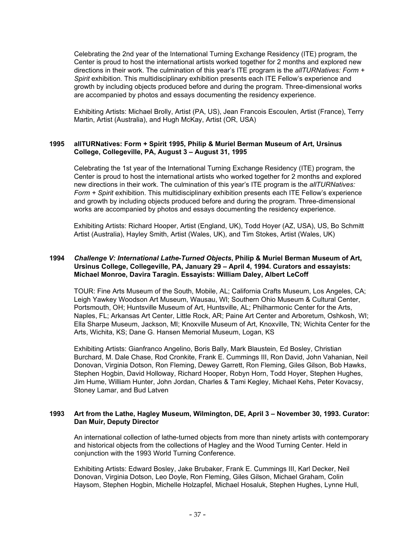Celebrating the 2nd year of the International Turning Exchange Residency (ITE) program, the Center is proud to host the international artists worked together for 2 months and explored new directions in their work. The culmination of this year's ITE program is the *allTURNatives: Form + Spirit* exhibition. This multidisciplinary exhibition presents each ITE Fellow's experience and growth by including objects produced before and during the program. Three-dimensional works are accompanied by photos and essays documenting the residency experience.

Exhibiting Artists: Michael Brolly, Artist (PA, US), Jean Francois Escoulen, Artist (France), Terry Martin, Artist (Australia), and Hugh McKay, Artist (OR, USA)

# **1995 allTURNatives: Form + Spirit 1995, Philip & Muriel Berman Museum of Art, Ursinus College, Collegeville, PA, August 3 – August 31, 1995**

Celebrating the 1st year of the International Turning Exchange Residency (ITE) program, the Center is proud to host the international artists who worked together for 2 months and explored new directions in their work. The culmination of this year's ITE program is the *allTURNatives: Form + Spirit* exhibition. This multidisciplinary exhibition presents each ITE Fellow's experience and growth by including objects produced before and during the program. Three-dimensional works are accompanied by photos and essays documenting the residency experience.

Exhibiting Artists: Richard Hooper, Artist (England, UK), Todd Hoyer (AZ, USA), US, Bo Schmitt Artist (Australia), Hayley Smith, Artist (Wales, UK), and Tim Stokes, Artist (Wales, UK)

# **1994** *Challenge V: International Lathe-Turned Objects***, Philip & Muriel Berman Museum of Art, Ursinus College, Collegeville, PA, January 29 – April 4, 1994. Curators and essayists: Michael Monroe, Davira Taragin. Essayists: William Daley, Albert LeCoff**

TOUR: Fine Arts Museum of the South, Mobile, AL; California Crafts Museum, Los Angeles, CA; Leigh Yawkey Woodson Art Museum, Wausau, WI; Southern Ohio Museum & Cultural Center, Portsmouth, OH; Huntsville Museum of Art, Huntsville, AL; Philharmonic Center for the Arts, Naples, FL; Arkansas Art Center, Little Rock, AR; Paine Art Center and Arboretum, Oshkosh, WI; Ella Sharpe Museum, Jackson, MI; Knoxville Museum of Art, Knoxville, TN; Wichita Center for the Arts, Wichita, KS; Dane G. Hansen Memorial Museum, Logan, KS

Exhibiting Artists: Gianfranco Angelino, Boris Bally, Mark Blaustein, Ed Bosley, Christian Burchard, M. Dale Chase, Rod Cronkite, Frank E. Cummings III, Ron David, John Vahanian, Neil Donovan, Virginia Dotson, Ron Fleming, Dewey Garrett, Ron Fleming, Giles Gilson, Bob Hawks, Stephen Hogbin, David Holloway, Richard Hooper, Robyn Horn, Todd Hoyer, Stephen Hughes, Jim Hume, William Hunter, John Jordan, Charles & Tami Kegley, Michael Kehs, Peter Kovacsy, Stoney Lamar, and Bud Latven

#### **1993 Art from the Lathe, Hagley Museum, Wilmington, DE, April 3 – November 30, 1993. Curator: Dan Muir, Deputy Director**

An international collection of lathe-turned objects from more than ninety artists with contemporary and historical objects from the collections of Hagley and the Wood Turning Center. Held in conjunction with the 1993 World Turning Conference.

Exhibiting Artists: Edward Bosley, Jake Brubaker, Frank E. Cummings III, Karl Decker, Neil Donovan, Virginia Dotson, Leo Doyle, Ron Fleming, Giles Gilson, Michael Graham, Colin Haysom, Stephen Hogbin, Michelle Holzapfel, Michael Hosaluk, Stephen Hughes, Lynne Hull,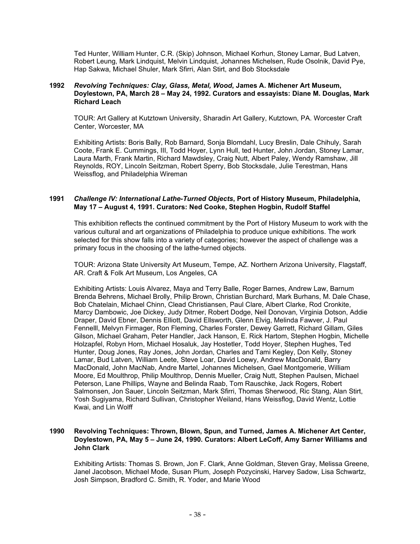Ted Hunter, William Hunter, C.R. (Skip) Johnson, Michael Korhun, Stoney Lamar, Bud Latven, Robert Leung, Mark Lindquist, Melvin Lindquist, Johannes Michelsen, Rude Osolnik, David Pye, Hap Sakwa, Michael Shuler, Mark Sfirri, Alan Stirt, and Bob Stocksdale

### **1992** *Revolving Techniques: Clay, Glass, Metal, Wood***, James A. Michener Art Museum, Doylestown, PA, March 28 – May 24, 1992. Curators and essayists: Diane M. Douglas, Mark Richard Leach**

TOUR: Art Gallery at Kutztown University, Sharadin Art Gallery, Kutztown, PA. Worcester Craft Center, Worcester, MA

Exhibiting Artists: Boris Bally, Rob Barnard, Sonja Blomdahl, Lucy Breslin, Dale Chihuly, Sarah Coote, Frank E. Cummings, III, Todd Hoyer, Lynn Hull, ted Hunter, John Jordan, Stoney Lamar, Laura Marth, Frank Martin, Richard Mawdsley, Craig Nutt, Albert Paley, Wendy Ramshaw, Jill Reynolds, ROY, Lincoln Seitzman, Robert Sperry, Bob Stocksdale, Julie Terestman, Hans Weissflog, and Philadelphia Wireman

# **1991** *Challenge IV: International Lathe-Turned Objects***, Port of History Museum, Philadelphia, May 17 – August 4, 1991. Curators: Ned Cooke, Stephen Hogbin, Rudolf Staffel**

This exhibition reflects the continued commitment by the Port of History Museum to work with the various cultural and art organizations of Philadelphia to produce unique exhibitions. The work selected for this show falls into a variety of categories; however the aspect of challenge was a primary focus in the choosing of the lathe-turned objects.

TOUR: Arizona State University Art Museum, Tempe, AZ. Northern Arizona University, Flagstaff, AR. Craft & Folk Art Museum, Los Angeles, CA

Exhibiting Artists: Louis Alvarez, Maya and Terry Balle, Roger Barnes, Andrew Law, Barnum Brenda Behrens, Michael Brolly, Philip Brown, Christian Burchard, Mark Burhans, M. Dale Chase, Bob Chatelain, Michael Chinn, Clead Christiansen, Paul Clare, Albert Clarke, Rod Cronkite, Marcy Dambowic, Joe Dickey, Judy Ditmer, Robert Dodge, Neil Donovan, Virginia Dotson, Addie Draper, David Ebner, Dennis Elliott, David Ellsworth, Glenn Elvig, Melinda Fawver, J. Paul Fennelll, Melvyn Firmager, Ron Fleming, Charles Forster, Dewey Garrett, Richard Gillam, Giles Gilson, Michael Graham, Peter Handler, Jack Hanson, E. Rick Hartom, Stephen Hogbin, Michelle Holzapfel, Robyn Horn, Michael Hosaluk, Jay Hostetler, Todd Hoyer, Stephen Hughes, Ted Hunter, Doug Jones, Ray Jones, John Jordan, Charles and Tami Kegley, Don Kelly, Stoney Lamar, Bud Latven, William Leete, Steve Loar, David Loewy, Andrew MacDonald, Barry MacDonald, John MacNab, Andre Martel, Johannes Michelsen, Gael Montgomerie, William Moore, Ed Moulthrop, Philip Moulthrop, Dennis Mueller, Craig Nutt, Stephen Paulsen, Michael Peterson, Lane Phillips, Wayne and Belinda Raab, Tom Rauschke, Jack Rogers, Robert Salmonsen, Jon Sauer, Lincoln Seitzman, Mark Sfirri, Thomas Sherwood, Ric Stang, Alan Stirt, Yosh Sugiyama, Richard Sullivan, Christopher Weiland, Hans Weissflog, David Wentz, Lottie Kwai, and Lin Wolff

# **1990 Revolving Techniques: Thrown, Blown, Spun, and Turned, James A. Michener Art Center, Doylestown, PA, May 5 – June 24, 1990. Curators: Albert LeCoff, Amy Sarner Williams and John Clark**

Exhibiting Artists: Thomas S. Brown, Jon F. Clark, Anne Goldman, Steven Gray, Melissa Greene, Janel Jacobson, Michael Mode, Susan Plum, Joseph Pozycinski, Harvey Sadow, Lisa Schwartz, Josh Simpson, Bradford C. Smith, R. Yoder, and Marie Wood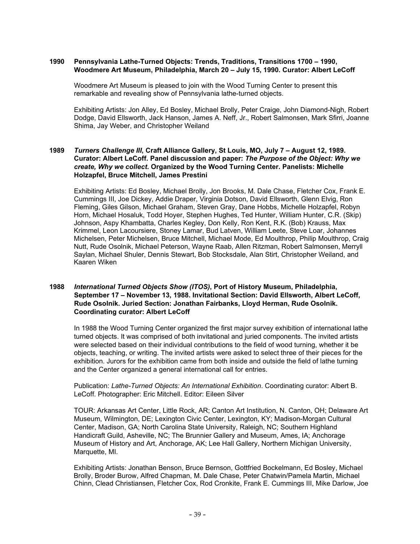### **1990 Pennsylvania Lathe-Turned Objects: Trends, Traditions, Transitions 1700 – 1990, Woodmere Art Museum, Philadelphia, March 20 – July 15, 1990. Curator: Albert LeCoff**

Woodmere Art Museum is pleased to join with the Wood Turning Center to present this remarkable and revealing show of Pennsylvania lathe-turned objects.

Exhibiting Artists: Jon Alley, Ed Bosley, Michael Brolly, Peter Craige, John Diamond-Nigh, Robert Dodge, David Ellsworth, Jack Hanson, James A. Neff, Jr., Robert Salmonsen, Mark Sfirri, Joanne Shima, Jay Weber, and Christopher Weiland

# **1989** *Turners Challenge III***, Craft Alliance Gallery, St Louis, MO, July 7 – August 12, 1989. Curator: Albert LeCoff. Panel discussion and paper:** *The Purpose of the Object: Why we create, Why we collect***. Organized by the Wood Turning Center. Panelists: Michelle Holzapfel, Bruce Mitchell, James Prestini**

Exhibiting Artists: Ed Bosley, Michael Brolly, Jon Brooks, M. Dale Chase, Fletcher Cox, Frank E. Cummings III, Joe Dickey, Addie Draper, Virginia Dotson, David Ellsworth, Glenn Elvig, Ron Fleming, Giles Gilson, Michael Graham, Steven Gray, Dane Hobbs, Michelle Holzapfel, Robyn Horn, Michael Hosaluk, Todd Hoyer, Stephen Hughes, Ted Hunter, William Hunter, C.R. (Skip) Johnson, Aspy Khambatta, Charles Kegley, Don Kelly, Ron Kent, R.K. (Bob) Krauss, Max Krimmel, Leon Lacoursiere, Stoney Lamar, Bud Latven, William Leete, Steve Loar, Johannes Michelsen, Peter Michelsen, Bruce Mitchell, Michael Mode, Ed Moulthrop, Philip Moulthrop, Craig Nutt, Rude Osolnik, Michael Peterson, Wayne Raab, Allen Ritzman, Robert Salmonsen, Merryll Saylan, Michael Shuler, Dennis Stewart, Bob Stocksdale, Alan Stirt, Christopher Weiland, and Kaaren Wiken

# **1988** *International Turned Objects Show (ITOS)***, Port of History Museum, Philadelphia, September 17 – November 13, 1988. Invitational Section: David Ellsworth, Albert LeCoff, Rude Osolnik. Juried Section: Jonathan Fairbanks, Lloyd Herman, Rude Osolnik. Coordinating curator: Albert LeCoff**

In 1988 the Wood Turning Center organized the first major survey exhibition of international lathe turned objects. It was comprised of both invitational and juried components. The invited artists were selected based on their individual contributions to the field of wood turning, whether it be objects, teaching, or writing. The invited artists were asked to select three of their pieces for the exhibition. Jurors for the exhibition came from both inside and outside the field of lathe turning and the Center organized a general international call for entries.

Publication: *Lathe-Turned Objects: An International Exhibition*. Coordinating curator: Albert B. LeCoff. Photographer: Eric Mitchell. Editor: Eileen Silver

TOUR: Arkansas Art Center, Little Rock, AR; Canton Art Institution, N. Canton, OH; Delaware Art Museum, Wilmington, DE; Lexington Civic Center, Lexington, KY; Madison-Morgan Cultural Center, Madison, GA; North Carolina State University, Raleigh, NC; Southern Highland Handicraft Guild, Asheville, NC; The Brunnier Gallery and Museum, Ames, IA; Anchorage Museum of History and Art, Anchorage, AK; Lee Hall Gallery, Northern Michigan University, Marquette, MI.

Exhibiting Artists: Jonathan Benson, Bruce Bernson, Gottfried Bockelmann, Ed Bosley, Michael Brolly, Broder Burow, Alfred Chapman, M. Dale Chase, Peter Chatwin/Pamela Martin, Michael Chinn, Clead Christiansen, Fletcher Cox, Rod Cronkite, Frank E. Cummings III, Mike Darlow, Joe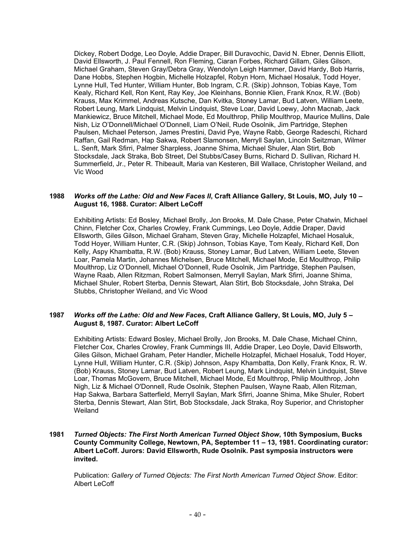Dickey, Robert Dodge, Leo Doyle, Addie Draper, Bill Duravochic, David N. Ebner, Dennis Elliott, David Ellsworth, J. Paul Fennell, Ron Fleming, Ciaran Forbes, Richard Gillam, Giles Gilson, Michael Graham, Steven Gray/Debra Gray, Wendolyn Leigh Hammer, David Hardy, Bob Harris, Dane Hobbs, Stephen Hogbin, Michelle Holzapfel, Robyn Horn, Michael Hosaluk, Todd Hoyer, Lynne Hull, Ted Hunter, William Hunter, Bob Ingram, C.R. (Skip) Johnson, Tobias Kaye, Tom Kealy, Richard Kell, Ron Kent, Ray Key, Joe Kleinhans, Bonnie Klien, Frank Knox, R.W. (Bob) Krauss, Max Krimmel, Andreas Kutsche, Dan Kvitka, Stoney Lamar, Bud Latven, William Leete, Robert Leung, Mark Lindquist, Melvin Lindquist, Steve Loar, David Loewy, John Macnab, Jack Mankiewicz, Bruce Mitchell, Michael Mode, Ed Moulthrop, Philip Moulthrop, Maurice Mullins, Dale Nish, Liz O'Donnell/Michael O'Donnell, Liam O'Neil, Rude Osolnik, Jim Partridge, Stephen Paulsen, Michael Peterson, James Prestini, David Pye, Wayne Rabb, George Radeschi, Richard Raffan, Gail Redman, Hap Sakwa, Robert Slamonsen, Merryll Saylan, Lincoln Seitzman, Wilmer L. Senft, Mark Sfirri, Palmer Sharpless, Joanne Shima, Michael Shuler, Alan Stirt, Bob Stocksdale, Jack Straka, Bob Street, Del Stubbs/Casey Burns, Richard D. Sullivan, Richard H. Summerfield, Jr., Peter R. Thibeault, Maria van Kesteren, Bill Wallace, Christopher Weiland, and Vic Wood

### **1988** *Works off the Lathe: Old and New Faces II***, Craft Alliance Gallery, St Louis, MO, July 10 – August 16, 1988. Curator: Albert LeCoff**

Exhibiting Artists: Ed Bosley, Michael Brolly, Jon Brooks, M. Dale Chase, Peter Chatwin, Michael Chinn, Fletcher Cox, Charles Crowley, Frank Cummings, Leo Doyle, Addie Draper, David Ellsworth, Giles Gilson, Michael Graham, Steven Gray, Michelle Holzapfel, Michael Hosaluk, Todd Hoyer, William Hunter, C.R. (Skip) Johnson, Tobias Kaye, Tom Kealy, Richard Kell, Don Kelly, Aspy Khambatta, R.W. (Bob) Krauss, Stoney Lamar, Bud Latven, William Leete, Steven Loar, Pamela Martin, Johannes Michelsen, Bruce Mitchell, Michael Mode, Ed Moulthrop, Philip Moulthrop, Liz O'Donnell, Michael O'Donnell, Rude Osolnik, Jim Partridge, Stephen Paulsen, Wayne Raab, Allen Ritzman, Robert Salmonsen, Merryll Saylan, Mark Sfirri, Joanne Shima, Michael Shuler, Robert Sterba, Dennis Stewart, Alan Stirt, Bob Stocksdale, John Straka, Del Stubbs, Christopher Weiland, and Vic Wood

# **1987** *Works off the Lathe: Old and New Faces***, Craft Alliance Gallery, St Louis, MO, July 5 – August 8, 1987. Curator: Albert LeCoff**

Exhibiting Artists: Edward Bosley, Michael Brolly, Jon Brooks, M. Dale Chase, Michael Chinn, Fletcher Cox, Charles Crowley, Frank Cummings III, Addie Draper, Leo Doyle, David Ellsworth, Giles Gilson, Michael Graham, Peter Handler, Michelle Holzapfel, Michael Hosaluk, Todd Hoyer, Lynne Hull, William Hunter, C.R. (Skip) Johnson, Aspy Khambatta, Don Kelly, Frank Knox, R. W. (Bob) Krauss, Stoney Lamar, Bud Latven, Robert Leung, Mark Lindquist, Melvin Lindquist, Steve Loar, Thomas McGovern, Bruce Mitchell, Michael Mode, Ed Moulthrop, Philip Moulthrop, John Nigh, Liz & Michael O'Donnell, Rude Osolnik, Stephen Paulsen, Wayne Raab, Allen Ritzman, Hap Sakwa, Barbara Satterfield, Merryll Saylan, Mark Sfirri, Joanne Shima, Mike Shuler, Robert Sterba, Dennis Stewart, Alan Stirt, Bob Stocksdale, Jack Straka, Roy Superior, and Christopher Weiland

# **1981** *Turned Objects: The First North American Turned Object Show***, 10th Symposium, Bucks County Community College, Newtown, PA, September 11 – 13, 1981. Coordinating curator: Albert LeCoff. Jurors: David Ellsworth, Rude Osolnik. Past symposia instructors were invited.**

Publication: *Gallery of Turned Objects: The First North American Turned Object Show*. Editor: Albert LeCoff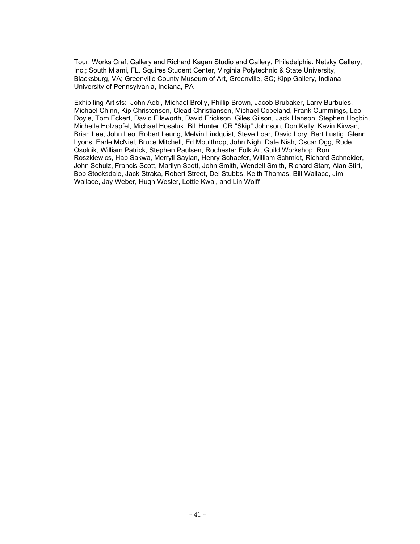Tour: Works Craft Gallery and Richard Kagan Studio and Gallery, Philadelphia. Netsky Gallery, Inc.; South Miami, FL. Squires Student Center, Virginia Polytechnic & State University, Blacksburg, VA; Greenville County Museum of Art, Greenville, SC; Kipp Gallery, Indiana University of Pennsylvania, Indiana, PA

Exhibiting Artists: John Aebi, Michael Brolly, Phillip Brown, Jacob Brubaker, Larry Burbules, Michael Chinn, Kip Christensen, Clead Christiansen, Michael Copeland, Frank Cummings, Leo Doyle, Tom Eckert, David Ellsworth, David Erickson, Giles Gilson, Jack Hanson, Stephen Hogbin, Michelle Holzapfel, Michael Hosaluk, Bill Hunter, CR "Skip" Johnson, Don Kelly, Kevin Kirwan, Brian Lee, John Leo, Robert Leung, Melvin Lindquist, Steve Loar, David Lory, Bert Lustig, Glenn Lyons, Earle McNiel, Bruce Mitchell, Ed Moulthrop, John Nigh, Dale Nish, Oscar Ogg, Rude Osolnik, William Patrick, Stephen Paulsen, Rochester Folk Art Guild Workshop, Ron Roszkiewics, Hap Sakwa, Merryll Saylan, Henry Schaefer, William Schmidt, Richard Schneider, John Schulz, Francis Scott, Marilyn Scott, John Smith, Wendell Smith, Richard Starr, Alan Stirt, Bob Stocksdale, Jack Straka, Robert Street, Del Stubbs, Keith Thomas, Bill Wallace, Jim Wallace, Jay Weber, Hugh Wesler, Lottie Kwai, and Lin Wolff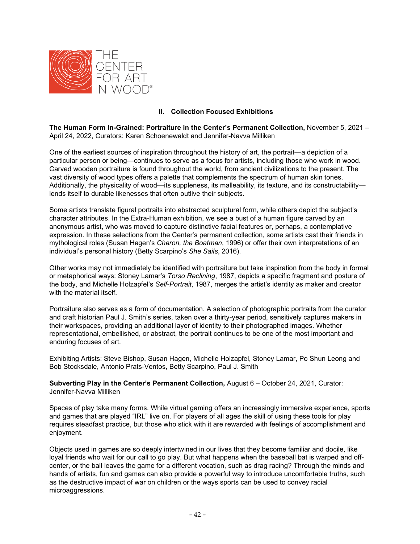

# **II. Collection Focused Exhibitions**

**The Human Form In-Grained: Portraiture in the Center's Permanent Collection,** November 5, 2021 – April 24, 2022, Curators: Karen Schoenewaldt and Jennifer-Navva Milliken

One of the earliest sources of inspiration throughout the history of art, the portrait—a depiction of a particular person or being—continues to serve as a focus for artists, including those who work in wood. Carved wooden portraiture is found throughout the world, from ancient civilizations to the present. The vast diversity of wood types offers a palette that complements the spectrum of human skin tones. Additionally, the physicality of wood—its suppleness, its malleability, its texture, and its constructability lends itself to durable likenesses that often outlive their subjects.

Some artists translate figural portraits into abstracted sculptural form, while others depict the subject's character attributes. In the Extra-Human exhibition, we see a bust of a human figure carved by an anonymous artist, who was moved to capture distinctive facial features or, perhaps, a contemplative expression. In these selections from the Center's permanent collection, some artists cast their friends in mythological roles (Susan Hagen's *Charon, the Boatman*, 1996) or offer their own interpretations of an individual's personal history (Betty Scarpino's *She Sails*, 2016).

Other works may not immediately be identified with portraiture but take inspiration from the body in formal or metaphorical ways: Stoney Lamar's *Torso Reclining*, 1987, depicts a specific fragment and posture of the body, and Michelle Holzapfel's *Self-Portrait*, 1987, merges the artist's identity as maker and creator with the material itself.

Portraiture also serves as a form of documentation. A selection of photographic portraits from the curator and craft historian Paul J. Smith's series, taken over a thirty-year period, sensitively captures makers in their workspaces, providing an additional layer of identity to their photographed images. Whether representational, embellished, or abstract, the portrait continues to be one of the most important and enduring focuses of art.

Exhibiting Artists: Steve Bishop, Susan Hagen, Michelle Holzapfel, Stoney Lamar, Po Shun Leong and Bob Stocksdale, Antonio Prats-Ventos, Betty Scarpino, Paul J. Smith

**Subverting Play in the Center's Permanent Collection,** August 6 – October 24, 2021, Curator: Jennifer-Navva Milliken

Spaces of play take many forms. While virtual gaming offers an increasingly immersive experience, sports and games that are played "IRL" live on. For players of all ages the skill of using these tools for play requires steadfast practice, but those who stick with it are rewarded with feelings of accomplishment and enjoyment.

Objects used in games are so deeply intertwined in our lives that they become familiar and docile, like loyal friends who wait for our call to go play. But what happens when the baseball bat is warped and offcenter, or the ball leaves the game for a different vocation, such as drag racing? Through the minds and hands of artists, fun and games can also provide a powerful way to introduce uncomfortable truths, such as the destructive impact of war on children or the ways sports can be used to convey racial microaggressions.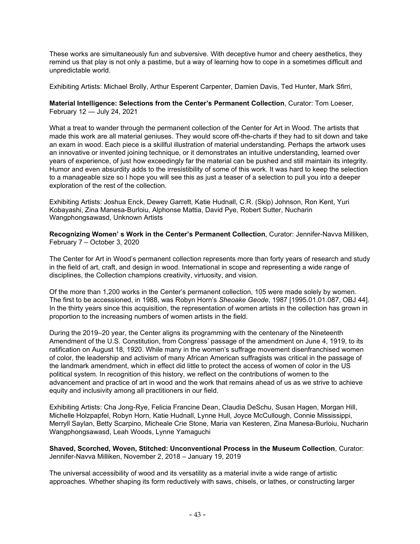These works are simultaneously fun and subversive. With deceptive humor and cheery aesthetics, they remind us that play is not only a pastime, but a way of learning how to cope in a sometimes difficult and unpredictable world.

Exhibiting Artists: Michael Brolly, Arthur Esperent Carpenter, Damien Davis, Ted Hunter, Mark Sfirri,

**Material Intelligence: Selections from the Center 's Permanent Collection**, Curator: Tom Loeser, February 12 — July 24, 2021

What a treat to wander through the permanent collection of the Center for Art in Wood. The artists that made this work are all material geniuses. They would score off-the-charts if they had to sit down and take an exam in wood. Each piece is a skillful illustration of material understanding. Perhaps the artwork uses an innovative or invented joining technique, or it demonstrates an intuitive understanding, learned over years of experience, of just how exceedingly far the material can be pushed and still maintain its integrity. Humor and even absurdity adds to the irresistibility of some of this work. It was hard to keep the selection to a manageable size so I hope you will see this as just a teaser of a selection to pull you into a deeper exploration of the rest of the collection.

Exhibiting Artists: Joshua Enck, Dewey Garrett, Katie Hudnall, C.R. (Skip) Johnson, Ron Kent, Yuri Kobayashi, Zina Manesa-Burloiu, Alphonse Mattia, David Pye, Robert Sutter, Nucharin Wangphongsawasd, Unknown Artists

**Recognizing Women' s Work in the Center's Permanent Collection**, Curator: Jennifer-Navva Milliken, February 7 – October 3, 2020

The Center for Art in Wood's permanent collection represents more than forty years of research and study in the field of art, craft, and design in wood. International in scope and representing a wide range of disciplines, the Collection champions creativity, virtuosity, and vision.

Of the more than 1,200 works in the Center's permanent collection, 105 were made solely by women. The first to be accessioned, in 1988, was Robyn Horn's *Sheoake Geode*, 1987 [1995.01.01.087, OBJ 44]. In the thirty years since this acquisition, the representation of women artists in the collection has grown in proportion to the increasing numbers of women artists in the field.

During the 2019–20 year, the Center aligns its programming with the centenary of the Nineteenth Amendment of the U.S. Constitution, from Congress' passage of the amendment on June 4, 1919, to its ratification on August 18, 1920. While many in the women's suffrage movement disenfranchised women of color, the leadership and activism of many African American suffragists was critical in the passage of the landmark amendment, which in effect did little to protect the access of women of color in the US political system. In recognition of this history, we reflect on the contributions of women to the advancement and practice of art in wood and the work that remains ahead of us as we strive to achieve equity and inclusivity among all practitioners in our field.

Exhibiting Artists: Cha Jong-Rye, Felicia Francine Dean, Claudia DeSchu, Susan Hagen, Morgan Hill, Michelle Holzpapfel, Robyn Horn, Katie Hudnall, Lynne Hull, Joyce McCullough, Connie Mississippi, Merryll Saylan, Betty Scarpino, Micheale Crie Stone, Maria van Kesteren, Zina Manesa-Burloiu, Nucharin Wangphongsawasd, Leah Woods, Lynne Yamaguchi

**Shaved, Scorched, Woven, Stitched: Unconventional Process in the Museum Collection**, Curator: Jennifer-Navva Milliken, November 2, 2018 – January 19, 2019

The universal accessibility of wood and its versatility as a material invite a wide range of artistic approaches. Whether shaping its form reductively with saws, chisels, or lathes, or constructing larger